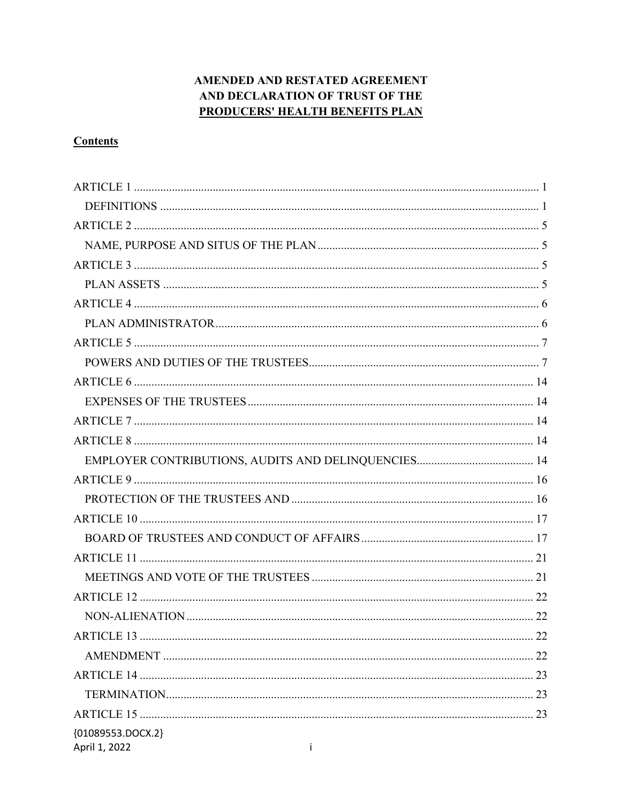# AMENDED AND RESTATED AGREEMENT AND DECLARATION OF TRUST OF THE **PRODUCERS' HEALTH BENEFITS PLAN**

# **Contents**

| {01089553.DOCX.2}<br>April 1, 2022<br>Ť |
|-----------------------------------------|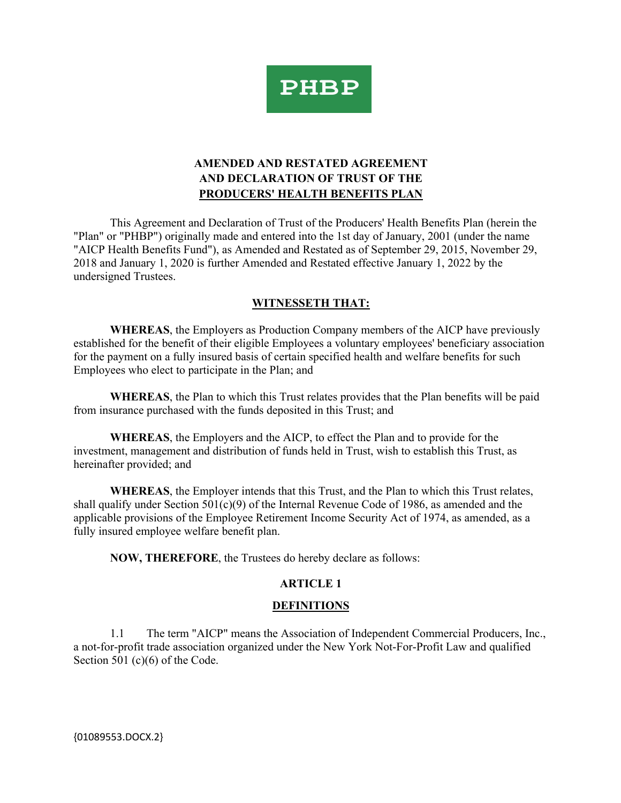

# **AMENDED AND RESTATED AGREEMENT AND DECLARATION OF TRUST OF THE PRODUCERS' HEALTH BENEFITS PLAN**

This Agreement and Declaration of Trust of the Producers' Health Benefits Plan (herein the "Plan" or "PHBP") originally made and entered into the 1st day of January, 2001 (under the name "AICP Health Benefits Fund"), as Amended and Restated as of September 29, 2015, November 29, 2018 and January 1, 2020 is further Amended and Restated effective January 1, 2022 by the undersigned Trustees.

# **WITNESSETH THAT:**

**WHEREAS**, the Employers as Production Company members of the AICP have previously established for the benefit of their eligible Employees a voluntary employees' beneficiary association for the payment on a fully insured basis of certain specified health and welfare benefits for such Employees who elect to participate in the Plan; and

**WHEREAS**, the Plan to which this Trust relates provides that the Plan benefits will be paid from insurance purchased with the funds deposited in this Trust; and

**WHEREAS**, the Employers and the AICP, to effect the Plan and to provide for the investment, management and distribution of funds held in Trust, wish to establish this Trust, as hereinafter provided; and

**WHEREAS**, the Employer intends that this Trust, and the Plan to which this Trust relates, shall qualify under Section  $501(c)(9)$  of the Internal Revenue Code of 1986, as amended and the applicable provisions of the Employee Retirement Income Security Act of 1974, as amended, as a fully insured employee welfare benefit plan.

**NOW, THEREFORE**, the Trustees do hereby declare as follows:

## **ARTICLE 1**

## **DEFINITIONS**

1.1 The term "AICP" means the Association of Independent Commercial Producers, Inc., a not-for-profit trade association organized under the New York Not-For-Profit Law and qualified Section 501 (c)(6) of the Code.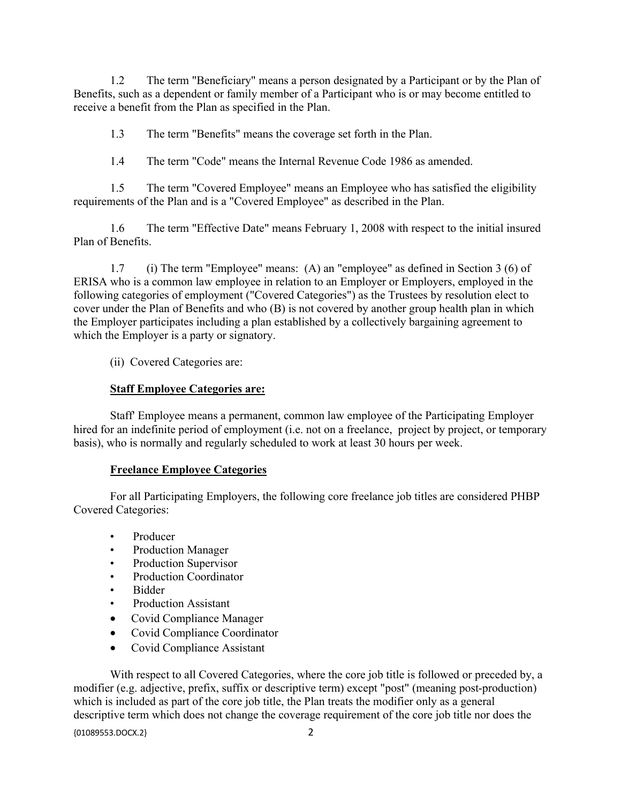1.2 The term "Beneficiary" means a person designated by a Participant or by the Plan of Benefits, such as a dependent or family member of a Participant who is or may become entitled to receive a benefit from the Plan as specified in the Plan.

1.3 The term "Benefits" means the coverage set forth in the Plan.

1.4 The term "Code" means the Internal Revenue Code 1986 as amended.

1.5 The term "Covered Employee" means an Employee who has satisfied the eligibility requirements of the Plan and is a "Covered Employee" as described in the Plan.

1.6 The term "Effective Date" means February 1, 2008 with respect to the initial insured Plan of Benefits.

1.7 (i) The term "Employee" means: (A) an "employee" as defined in Section 3 (6) of ERISA who is a common law employee in relation to an Employer or Employers, employed in the following categories of employment ("Covered Categories") as the Trustees by resolution elect to cover under the Plan of Benefits and who (B) is not covered by another group health plan in which the Employer participates including a plan established by a collectively bargaining agreement to which the Employer is a party or signatory.

(ii) Covered Categories are:

## **Staff Employee Categories are:**

Staff' Employee means a permanent, common law employee of the Participating Employer hired for an indefinite period of employment (i.e. not on a freelance, project by project, or temporary basis), who is normally and regularly scheduled to work at least 30 hours per week.

## **Freelance Employee Categories**

For all Participating Employers, the following core freelance job titles are considered PHBP Covered Categories:

- Producer
- Production Manager
- Production Supervisor
- Production Coordinator
- Bidder
- Production Assistant
- Covid Compliance Manager
- Covid Compliance Coordinator
- Covid Compliance Assistant

With respect to all Covered Categories, where the core job title is followed or preceded by, a modifier (e.g. adjective, prefix, suffix or descriptive term) except "post" (meaning post-production) which is included as part of the core job title, the Plan treats the modifier only as a general descriptive term which does not change the coverage requirement of the core job title nor does the

{01089553.DOCX.2} 2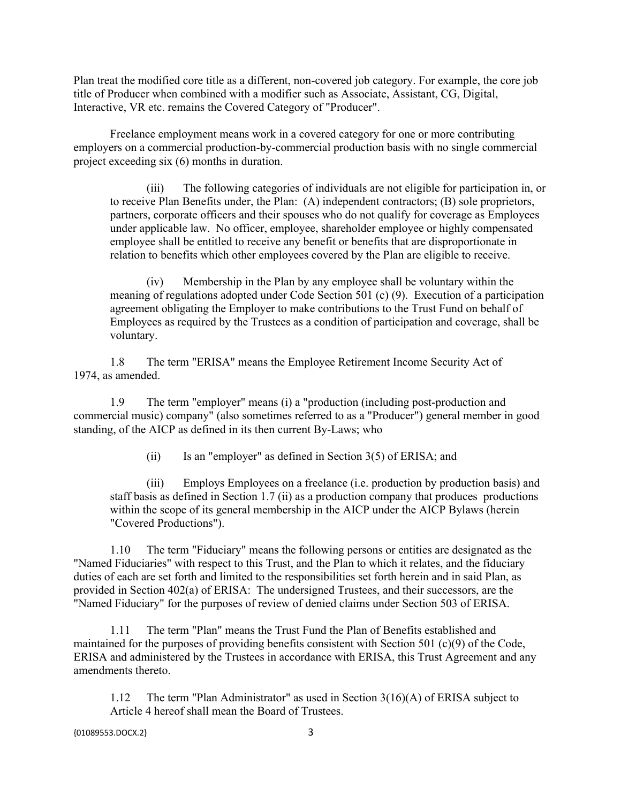Plan treat the modified core title as a different, non-covered job category. For example, the core job title of Producer when combined with a modifier such as Associate, Assistant, CG, Digital, Interactive, VR etc. remains the Covered Category of "Producer".

Freelance employment means work in a covered category for one or more contributing employers on a commercial production-by-commercial production basis with no single commercial project exceeding six (6) months in duration.

(iii) The following categories of individuals are not eligible for participation in, or to receive Plan Benefits under, the Plan: (A) independent contractors; (B) sole proprietors, partners, corporate officers and their spouses who do not qualify for coverage as Employees under applicable law. No officer, employee, shareholder employee or highly compensated employee shall be entitled to receive any benefit or benefits that are disproportionate in relation to benefits which other employees covered by the Plan are eligible to receive.

(iv) Membership in the Plan by any employee shall be voluntary within the meaning of regulations adopted under Code Section 501 (c) (9). Execution of a participation agreement obligating the Employer to make contributions to the Trust Fund on behalf of Employees as required by the Trustees as a condition of participation and coverage, shall be voluntary.

1.8 The term "ERISA" means the Employee Retirement Income Security Act of 1974, as amended.

1.9 The term "employer" means (i) a "production (including post-production and commercial music) company" (also sometimes referred to as a "Producer") general member in good standing, of the AICP as defined in its then current By-Laws; who

 $(ii)$  Is an "employer" as defined in Section 3(5) of ERISA; and

(iii) Employs Employees on a freelance (i.e. production by production basis) and staff basis as defined in Section 1.7 (ii) as a production company that produces productions within the scope of its general membership in the AICP under the AICP Bylaws (herein "Covered Productions").

1.10 The term "Fiduciary" means the following persons or entities are designated as the "Named Fiduciaries" with respect to this Trust, and the Plan to which it relates, and the fiduciary duties of each are set forth and limited to the responsibilities set forth herein and in said Plan, as provided in Section 402(a) of ERISA: The undersigned Trustees, and their successors, are the "Named Fiduciary" for the purposes of review of denied claims under Section 503 of ERISA.

1.11 The term "Plan" means the Trust Fund the Plan of Benefits established and maintained for the purposes of providing benefits consistent with Section 501  $(c)(9)$  of the Code, ERISA and administered by the Trustees in accordance with ERISA, this Trust Agreement and any amendments thereto.

1.12 The term "Plan Administrator" as used in Section 3(16)(A) of ERISA subject to Article 4 hereof shall mean the Board of Trustees.

{01089553.DOCX.2} 3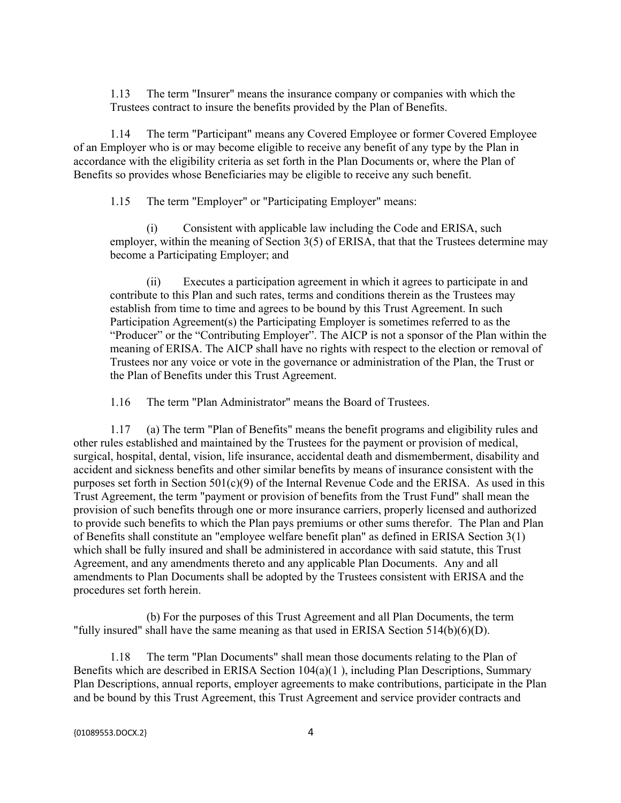1.13 The term "Insurer" means the insurance company or companies with which the Trustees contract to insure the benefits provided by the Plan of Benefits.

1.14 The term "Participant" means any Covered Employee or former Covered Employee of an Employer who is or may become eligible to receive any benefit of any type by the Plan in accordance with the eligibility criteria as set forth in the Plan Documents or, where the Plan of Benefits so provides whose Beneficiaries may be eligible to receive any such benefit.

1.15 The term "Employer" or "Participating Employer" means:

(i) Consistent with applicable law including the Code and ERISA, such employer, within the meaning of Section 3(5) of ERISA, that that the Trustees determine may become a Participating Employer; and

(ii) Executes a participation agreement in which it agrees to participate in and contribute to this Plan and such rates, terms and conditions therein as the Trustees may establish from time to time and agrees to be bound by this Trust Agreement. In such Participation Agreement(s) the Participating Employer is sometimes referred to as the "Producer" or the "Contributing Employer". The AICP is not a sponsor of the Plan within the meaning of ERISA. The AICP shall have no rights with respect to the election or removal of Trustees nor any voice or vote in the governance or administration of the Plan, the Trust or the Plan of Benefits under this Trust Agreement.

1.16 The term "Plan Administrator" means the Board of Trustees.

1.17 (a) The term "Plan of Benefits" means the benefit programs and eligibility rules and other rules established and maintained by the Trustees for the payment or provision of medical, surgical, hospital, dental, vision, life insurance, accidental death and dismemberment, disability and accident and sickness benefits and other similar benefits by means of insurance consistent with the purposes set forth in Section 501(c)(9) of the Internal Revenue Code and the ERISA. As used in this Trust Agreement, the term "payment or provision of benefits from the Trust Fund" shall mean the provision of such benefits through one or more insurance carriers, properly licensed and authorized to provide such benefits to which the Plan pays premiums or other sums therefor. The Plan and Plan of Benefits shall constitute an "employee welfare benefit plan" as defined in ERISA Section 3(1) which shall be fully insured and shall be administered in accordance with said statute, this Trust Agreement, and any amendments thereto and any applicable Plan Documents. Any and all amendments to Plan Documents shall be adopted by the Trustees consistent with ERISA and the procedures set forth herein.

(b) For the purposes of this Trust Agreement and all Plan Documents, the term "fully insured" shall have the same meaning as that used in ERISA Section 514(b)(6)(D).

1.18 The term "Plan Documents" shall mean those documents relating to the Plan of Benefits which are described in ERISA Section 104(a)(1 ), including Plan Descriptions, Summary Plan Descriptions, annual reports, employer agreements to make contributions, participate in the Plan and be bound by this Trust Agreement, this Trust Agreement and service provider contracts and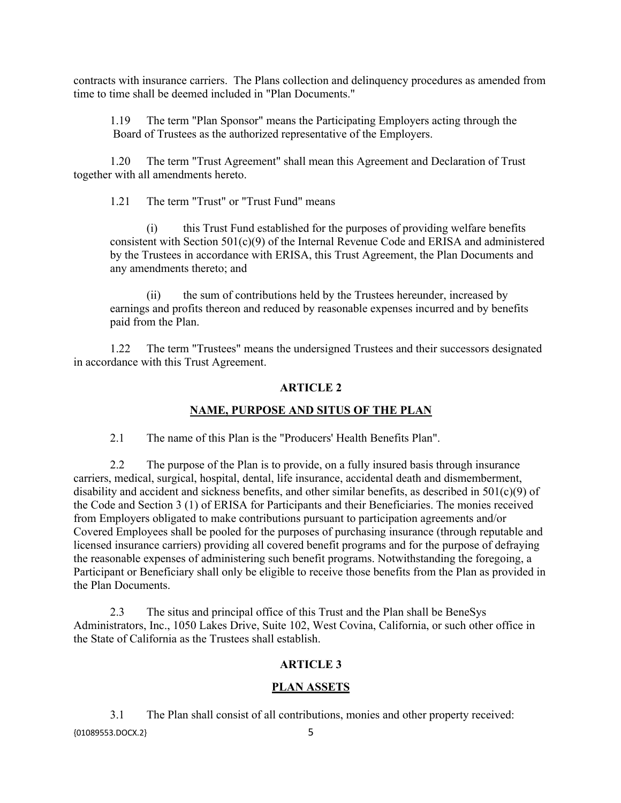contracts with insurance carriers. The Plans collection and delinquency procedures as amended from time to time shall be deemed included in "Plan Documents."

1.19 The term "Plan Sponsor" means the Participating Employers acting through the Board of Trustees as the authorized representative of the Employers.

1.20 The term "Trust Agreement" shall mean this Agreement and Declaration of Trust together with all amendments hereto.

1.21 The term "Trust" or "Trust Fund" means

(i) this Trust Fund established for the purposes of providing welfare benefits consistent with Section 501(c)(9) of the Internal Revenue Code and ERISA and administered by the Trustees in accordance with ERISA, this Trust Agreement, the Plan Documents and any amendments thereto; and

(ii) the sum of contributions held by the Trustees hereunder, increased by earnings and profits thereon and reduced by reasonable expenses incurred and by benefits paid from the Plan.

1.22 The term "Trustees" means the undersigned Trustees and their successors designated in accordance with this Trust Agreement.

## **ARTICLE 2**

#### **NAME, PURPOSE AND SITUS OF THE PLAN**

2.1 The name of this Plan is the "Producers' Health Benefits Plan".

2.2 The purpose of the Plan is to provide, on a fully insured basis through insurance carriers, medical, surgical, hospital, dental, life insurance, accidental death and dismemberment, disability and accident and sickness benefits, and other similar benefits, as described in 501(c)(9) of the Code and Section 3 (1) of ERISA for Participants and their Beneficiaries. The monies received from Employers obligated to make contributions pursuant to participation agreements and/or Covered Employees shall be pooled for the purposes of purchasing insurance (through reputable and licensed insurance carriers) providing all covered benefit programs and for the purpose of defraying the reasonable expenses of administering such benefit programs. Notwithstanding the foregoing, a Participant or Beneficiary shall only be eligible to receive those benefits from the Plan as provided in the Plan Documents.

2.3 The situs and principal office of this Trust and the Plan shall be BeneSys Administrators, Inc., 1050 Lakes Drive, Suite 102, West Covina, California, or such other office in the State of California as the Trustees shall establish.

## **ARTICLE 3**

#### **PLAN ASSETS**

{01089553.DOCX.2} 5 3.1 The Plan shall consist of all contributions, monies and other property received: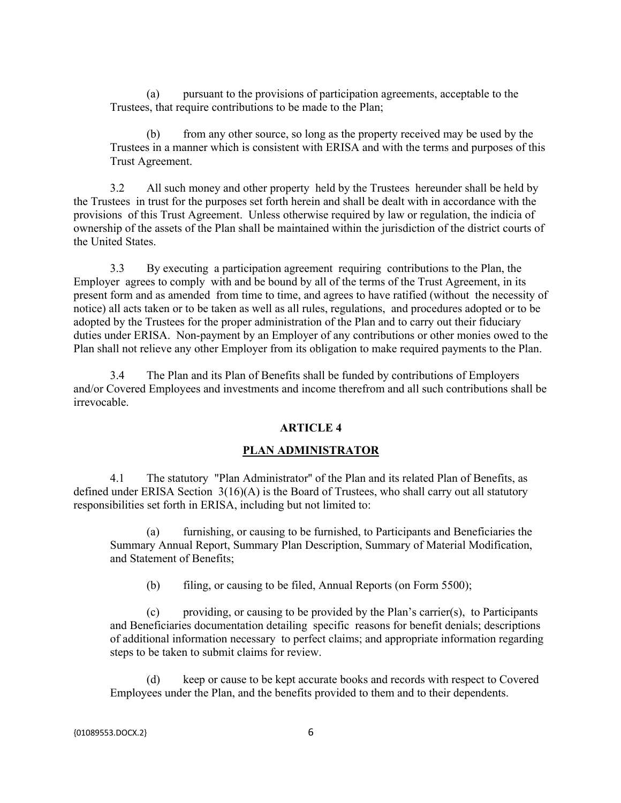(a) pursuant to the provisions of participation agreements, acceptable to the Trustees, that require contributions to be made to the Plan;

(b) from any other source, so long as the property received may be used by the Trustees in a manner which is consistent with ERISA and with the terms and purposes of this Trust Agreement.

3.2 All such money and other property held by the Trustees hereunder shall be held by the Trustees in trust for the purposes set forth herein and shall be dealt with in accordance with the provisions of this Trust Agreement. Unless otherwise required by law or regulation, the indicia of ownership of the assets of the Plan shall be maintained within the jurisdiction of the district courts of the United States.

3.3 By executing a participation agreement requiring contributions to the Plan, the Employer agrees to comply with and be bound by all of the terms of the Trust Agreement, in its present form and as amended from time to time, and agrees to have ratified (without the necessity of notice) all acts taken or to be taken as well as all rules, regulations, and procedures adopted or to be adopted by the Trustees for the proper administration of the Plan and to carry out their fiduciary duties under ERISA. Non-payment by an Employer of any contributions or other monies owed to the Plan shall not relieve any other Employer from its obligation to make required payments to the Plan.

3.4 The Plan and its Plan of Benefits shall be funded by contributions of Employers and/or Covered Employees and investments and income therefrom and all such contributions shall be irrevocable.

#### **ARTICLE 4**

#### **PLAN ADMINISTRATOR**

4.1 The statutory "Plan Administrator'' of the Plan and its related Plan of Benefits, as defined under ERISA Section 3(16)(A) is the Board of Trustees, who shall carry out all statutory responsibilities set forth in ERISA, including but not limited to:

furnishing, or causing to be furnished, to Participants and Beneficiaries the Summary Annual Report, Summary Plan Description, Summary of Material Modification, and Statement of Benefits;

(b) filing, or causing to be filed, Annual Reports (on Form 5500);

(c) providing, or causing to be provided by the Plan's carrier(s), to Participants and Beneficiaries documentation detailing specific reasons for benefit denials; descriptions of additional information necessary to perfect claims; and appropriate information regarding steps to be taken to submit claims for review.

keep or cause to be kept accurate books and records with respect to Covered Employees under the Plan, and the benefits provided to them and to their dependents.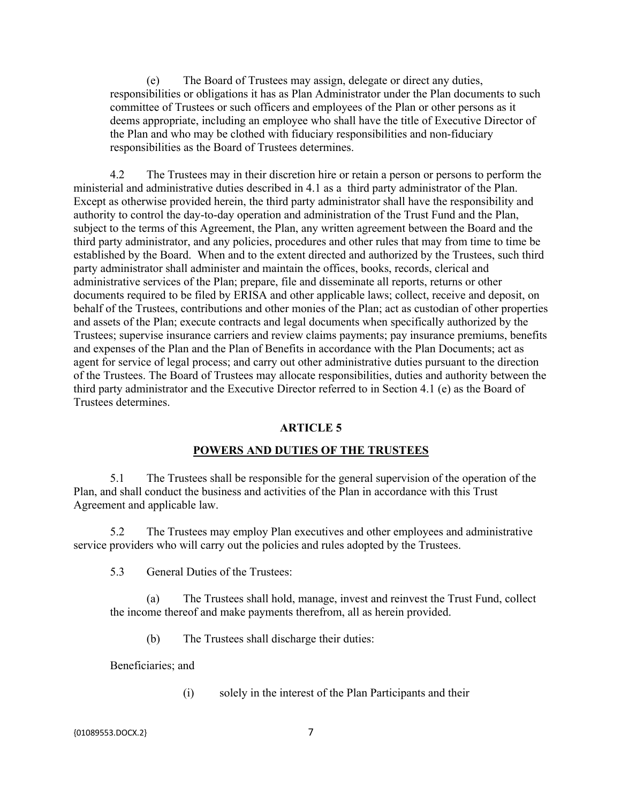(e) The Board of Trustees may assign, delegate or direct any duties, responsibilities or obligations it has as Plan Administrator under the Plan documents to such committee of Trustees or such officers and employees of the Plan or other persons as it deems appropriate, including an employee who shall have the title of Executive Director of the Plan and who may be clothed with fiduciary responsibilities and non-fiduciary responsibilities as the Board of Trustees determines.

4.2 The Trustees may in their discretion hire or retain a person or persons to perform the ministerial and administrative duties described in 4.1 as a third party administrator of the Plan. Except as otherwise provided herein, the third party administrator shall have the responsibility and authority to control the day-to-day operation and administration of the Trust Fund and the Plan, subject to the terms of this Agreement, the Plan, any written agreement between the Board and the third party administrator, and any policies, procedures and other rules that may from time to time be established by the Board. When and to the extent directed and authorized by the Trustees, such third party administrator shall administer and maintain the offices, books, records, clerical and administrative services of the Plan; prepare, file and disseminate all reports, returns or other documents required to be filed by ERISA and other applicable laws; collect, receive and deposit, on behalf of the Trustees, contributions and other monies of the Plan; act as custodian of other properties and assets of the Plan; execute contracts and legal documents when specifically authorized by the Trustees; supervise insurance carriers and review claims payments; pay insurance premiums, benefits and expenses of the Plan and the Plan of Benefits in accordance with the Plan Documents; act as agent for service of legal process; and carry out other administrative duties pursuant to the direction of the Trustees. The Board of Trustees may allocate responsibilities, duties and authority between the third party administrator and the Executive Director referred to in Section 4.1 (e) as the Board of Trustees determines.

#### **ARTICLE 5**

#### **POWERS AND DUTIES OF THE TRUSTEES**

5.1 The Trustees shall be responsible for the general supervision of the operation of the Plan, and shall conduct the business and activities of the Plan in accordance with this Trust Agreement and applicable law.

5.2 The Trustees may employ Plan executives and other employees and administrative service providers who will carry out the policies and rules adopted by the Trustees.

5.3 General Duties of the Trustees:

(a) The Trustees shall hold, manage, invest and reinvest the Trust Fund, collect the income thereof and make payments therefrom, all as herein provided.

(b) The Trustees shall discharge their duties:

Beneficiaries; and

(i) solely in the interest of the Plan Participants and their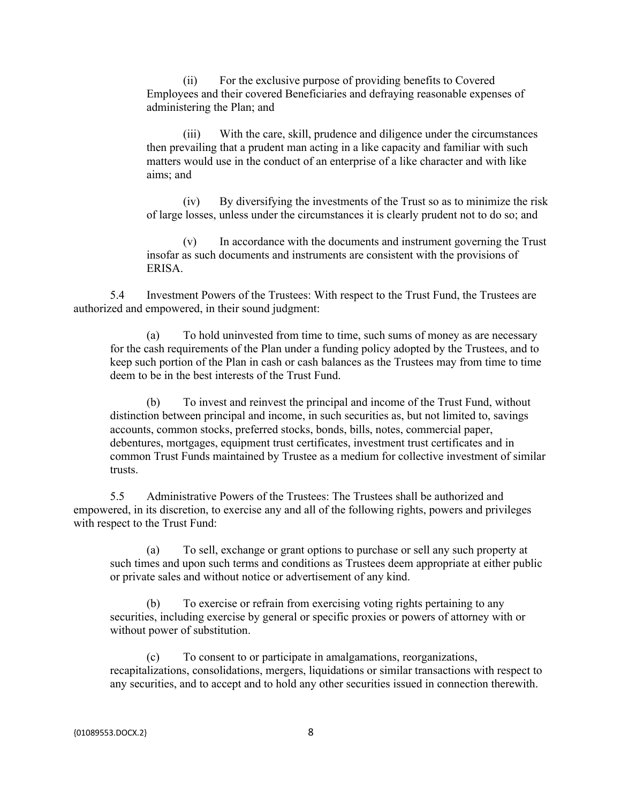(ii) For the exclusive purpose of providing benefits to Covered Employees and their covered Beneficiaries and defraying reasonable expenses of administering the Plan; and

(iii) With the care, skill, prudence and diligence under the circumstances then prevailing that a prudent man acting in a like capacity and familiar with such matters would use in the conduct of an enterprise of a like character and with like aims; and

(iv) By diversifying the investments of the Trust so as to minimize the risk of large losses, unless under the circumstances it is clearly prudent not to do so; and

(v) In accordance with the documents and instrument governing the Trust insofar as such documents and instruments are consistent with the provisions of ERISA.

5.4 Investment Powers of the Trustees: With respect to the Trust Fund, the Trustees are authorized and empowered, in their sound judgment:

(a) To hold uninvested from time to time, such sums of money as are necessary for the cash requirements of the Plan under a funding policy adopted by the Trustees, and to keep such portion of the Plan in cash or cash balances as the Trustees may from time to time deem to be in the best interests of the Trust Fund.

(b) To invest and reinvest the principal and income of the Trust Fund, without distinction between principal and income, in such securities as, but not limited to, savings accounts, common stocks, preferred stocks, bonds, bills, notes, commercial paper, debentures, mortgages, equipment trust certificates, investment trust certificates and in common Trust Funds maintained by Trustee as a medium for collective investment of similar trusts.

5.5 Administrative Powers of the Trustees: The Trustees shall be authorized and empowered, in its discretion, to exercise any and all of the following rights, powers and privileges with respect to the Trust Fund:

(a) To sell, exchange or grant options to purchase or sell any such property at such times and upon such terms and conditions as Trustees deem appropriate at either public or private sales and without notice or advertisement of any kind.

(b) To exercise or refrain from exercising voting rights pertaining to any securities, including exercise by general or specific proxies or powers of attorney with or without power of substitution.

(c) To consent to or participate in amalgamations, reorganizations, recapitalizations, consolidations, mergers, liquidations or similar transactions with respect to any securities, and to accept and to hold any other securities issued in connection therewith.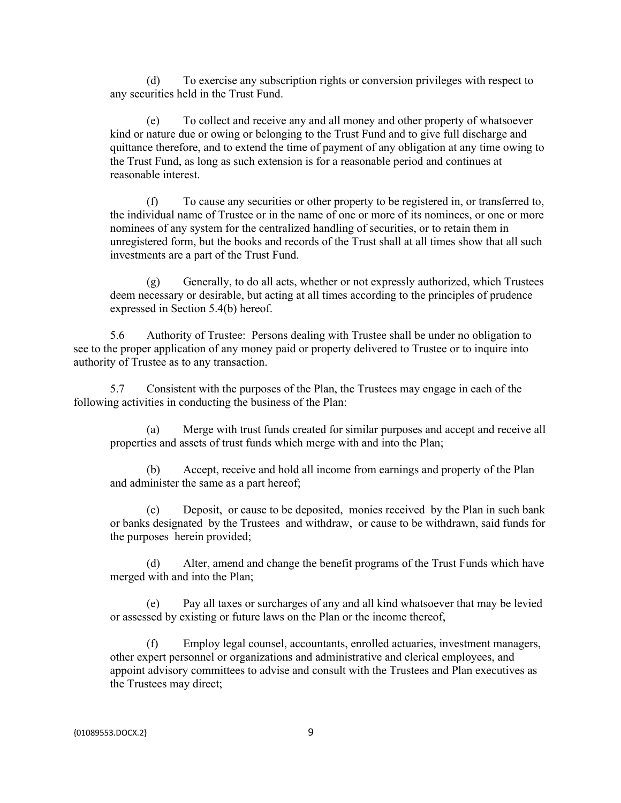(d) To exercise any subscription rights or conversion privileges with respect to any securities held in the Trust Fund.

(e) To collect and receive any and all money and other property of whatsoever kind or nature due or owing or belonging to the Trust Fund and to give full discharge and quittance therefore, and to extend the time of payment of any obligation at any time owing to the Trust Fund, as long as such extension is for a reasonable period and continues at reasonable interest.

(f) To cause any securities or other property to be registered in, or transferred to, the individual name of Trustee or in the name of one or more of its nominees, or one or more nominees of any system for the centralized handling of securities, or to retain them in unregistered form, but the books and records of the Trust shall at all times show that all such investments are a part of the Trust Fund.

 $(g)$  Generally, to do all acts, whether or not expressly authorized, which Trustees deem necessary or desirable, but acting at all times according to the principles of prudence expressed in Section 5.4(b) hereof.

5.6 Authority of Trustee: Persons dealing with Trustee shall be under no obligation to see to the proper application of any money paid or property delivered to Trustee or to inquire into authority of Trustee as to any transaction.

5.7 Consistent with the purposes of the Plan, the Trustees may engage in each of the following activities in conducting the business of the Plan:

(a) Merge with trust funds created for similar purposes and accept and receive all properties and assets of trust funds which merge with and into the Plan;

(b) Accept, receive and hold all income from earnings and property of the Plan and administer the same as a part hereof;

(c) Deposit, or cause to be deposited, monies received by the Plan in such bank or banks designated by the Trustees and withdraw, or cause to be withdrawn, said funds for the purposes herein provided;

(d) Alter, amend and change the benefit programs of the Trust Funds which have merged with and into the Plan;

(e) Pay all taxes or surcharges of any and all kind whatsoever that may be levied or assessed by existing or future laws on the Plan or the income thereof,

(f) Employ legal counsel, accountants, enrolled actuaries, investment managers, other expert personnel or organizations and administrative and clerical employees, and appoint advisory committees to advise and consult with the Trustees and Plan executives as the Trustees may direct;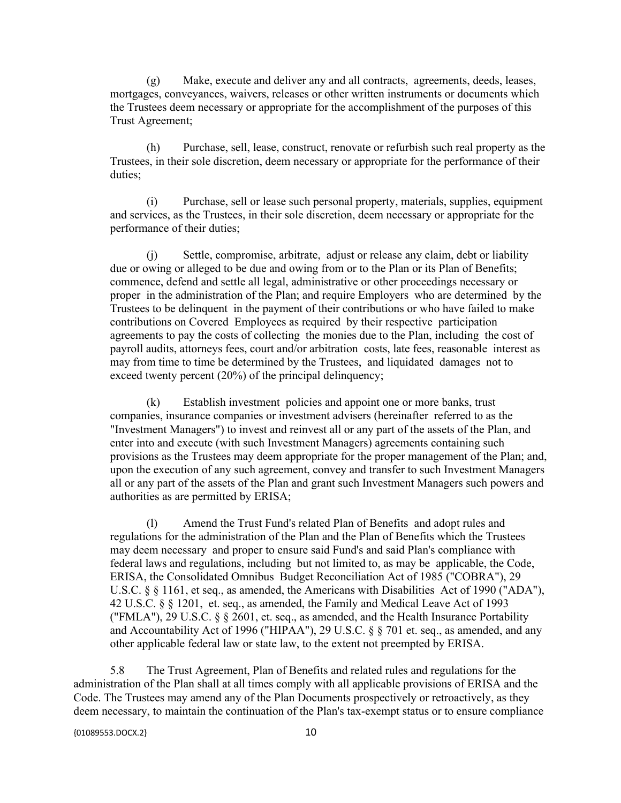(g) Make, execute and deliver any and all contracts, agreements, deeds, leases, mortgages, conveyances, waivers, releases or other written instruments or documents which the Trustees deem necessary or appropriate for the accomplishment of the purposes of this Trust Agreement;

(h) Purchase, sell, lease, construct, renovate or refurbish such real property as the Trustees, in their sole discretion, deem necessary or appropriate for the performance of their duties;

(i) Purchase, sell or lease such personal property, materials, supplies, equipment and services, as the Trustees, in their sole discretion, deem necessary or appropriate for the performance of their duties;

(j) Settle, compromise, arbitrate, adjust or release any claim, debt or liability due or owing or alleged to be due and owing from or to the Plan or its Plan of Benefits; commence, defend and settle all legal, administrative or other proceedings necessary or proper in the administration of the Plan; and require Employers who are determined by the Trustees to be delinquent in the payment of their contributions or who have failed to make contributions on Covered Employees as required by their respective participation agreements to pay the costs of collecting the monies due to the Plan, including the cost of payroll audits, attorneys fees, court and/or arbitration costs, late fees, reasonable interest as may from time to time be determined by the Trustees, and liquidated damages not to exceed twenty percent (20%) of the principal delinquency;

(k) Establish investment policies and appoint one or more banks, trust companies, insurance companies or investment advisers (hereinafter referred to as the "Investment Managers") to invest and reinvest all or any part of the assets of the Plan, and enter into and execute (with such Investment Managers) agreements containing such provisions as the Trustees may deem appropriate for the proper management of the Plan; and, upon the execution of any such agreement, convey and transfer to such Investment Managers all or any part of the assets of the Plan and grant such Investment Managers such powers and authorities as are permitted by ERISA;

(l) Amend the Trust Fund's related Plan of Benefits and adopt rules and regulations for the administration of the Plan and the Plan of Benefits which the Trustees may deem necessary and proper to ensure said Fund's and said Plan's compliance with federal laws and regulations, including but not limited to, as may be applicable, the Code, ERISA, the Consolidated Omnibus Budget Reconciliation Act of 1985 ("COBRA"), 29 U.S.C. § § 1161, et seq., as amended, the Americans with Disabilities Act of 1990 ("ADA"), 42 U.S.C. § § 1201, et. seq., as amended, the Family and Medical Leave Act of 1993 ("FMLA"), 29 U.S.C. § § 2601, et. seq., as amended, and the Health Insurance Portability and Accountability Act of 1996 ("HIPAA"), 29 U.S.C. § § 701 et. seq., as amended, and any other applicable federal law or state law, to the extent not preempted by ERISA.

5.8 The Trust Agreement, Plan of Benefits and related rules and regulations for the administration of the Plan shall at all times comply with all applicable provisions of ERISA and the Code. The Trustees may amend any of the Plan Documents prospectively or retroactively, as they deem necessary, to maintain the continuation of the Plan's tax-exempt status or to ensure compliance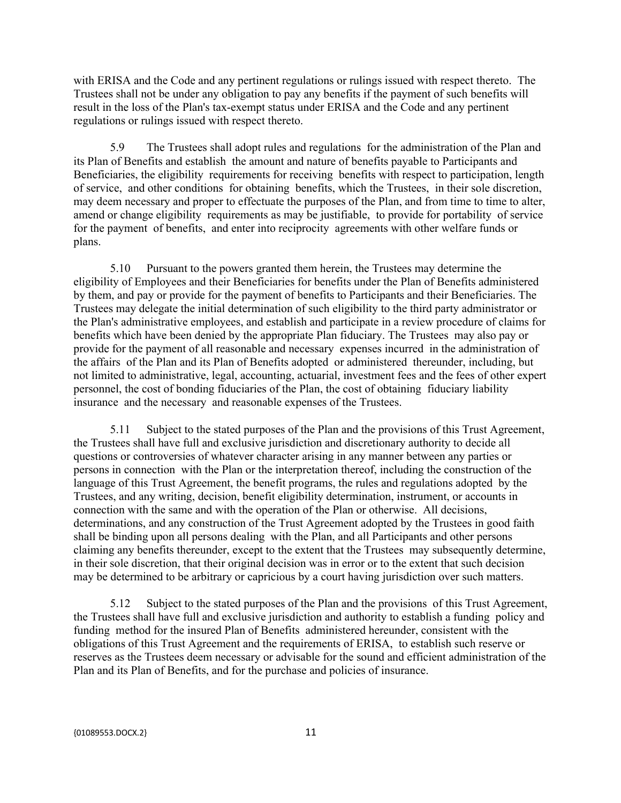with ERISA and the Code and any pertinent regulations or rulings issued with respect thereto. The Trustees shall not be under any obligation to pay any benefits if the payment of such benefits will result in the loss of the Plan's tax-exempt status under ERISA and the Code and any pertinent regulations or rulings issued with respect thereto.

5.9 The Trustees shall adopt rules and regulations for the administration of the Plan and its Plan of Benefits and establish the amount and nature of benefits payable to Participants and Beneficiaries, the eligibility requirements for receiving benefits with respect to participation, length of service, and other conditions for obtaining benefits, which the Trustees, in their sole discretion, may deem necessary and proper to effectuate the purposes of the Plan, and from time to time to alter, amend or change eligibility requirements as may be justifiable, to provide for portability of service for the payment of benefits, and enter into reciprocity agreements with other welfare funds or plans.

5.10 Pursuant to the powers granted them herein, the Trustees may determine the eligibility of Employees and their Beneficiaries for benefits under the Plan of Benefits administered by them, and pay or provide for the payment of benefits to Participants and their Beneficiaries. The Trustees may delegate the initial determination of such eligibility to the third party administrator or the Plan's administrative employees, and establish and participate in a review procedure of claims for benefits which have been denied by the appropriate Plan fiduciary. The Trustees may also pay or provide for the payment of all reasonable and necessary expenses incurred in the administration of the affairs of the Plan and its Plan of Benefits adopted or administered thereunder, including, but not limited to administrative, legal, accounting, actuarial, investment fees and the fees of other expert personnel, the cost of bonding fiduciaries of the Plan, the cost of obtaining fiduciary liability insurance and the necessary and reasonable expenses of the Trustees.

5.11 Subject to the stated purposes of the Plan and the provisions of this Trust Agreement, the Trustees shall have full and exclusive jurisdiction and discretionary authority to decide all questions or controversies of whatever character arising in any manner between any parties or persons in connection with the Plan or the interpretation thereof, including the construction of the language of this Trust Agreement, the benefit programs, the rules and regulations adopted by the Trustees, and any writing, decision, benefit eligibility determination, instrument, or accounts in connection with the same and with the operation of the Plan or otherwise. All decisions, determinations, and any construction of the Trust Agreement adopted by the Trustees in good faith shall be binding upon all persons dealing with the Plan, and all Participants and other persons claiming any benefits thereunder, except to the extent that the Trustees may subsequently determine, in their sole discretion, that their original decision was in error or to the extent that such decision may be determined to be arbitrary or capricious by a court having jurisdiction over such matters.

5.12 Subject to the stated purposes of the Plan and the provisions of this Trust Agreement, the Trustees shall have full and exclusive jurisdiction and authority to establish a funding policy and funding method for the insured Plan of Benefits administered hereunder, consistent with the obligations of this Trust Agreement and the requirements of ERISA, to establish such reserve or reserves as the Trustees deem necessary or advisable for the sound and efficient administration of the Plan and its Plan of Benefits, and for the purchase and policies of insurance.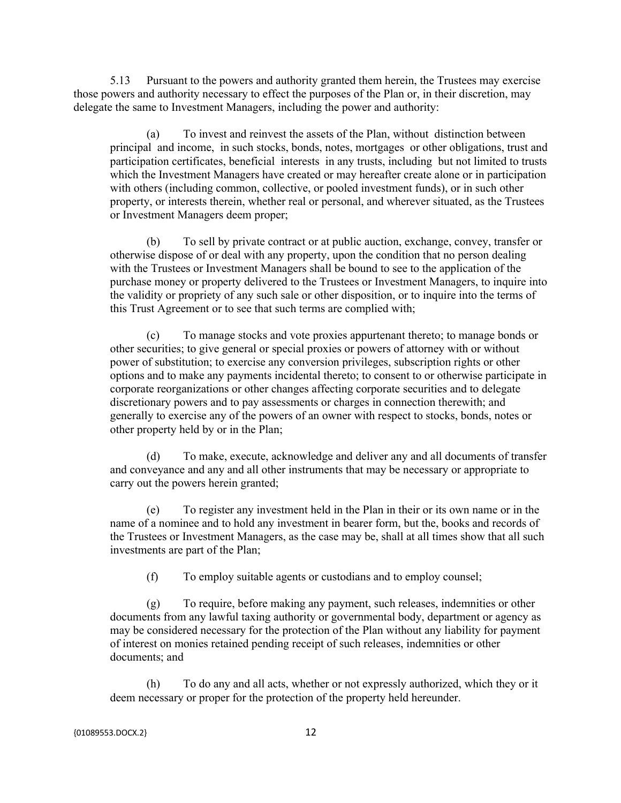5.13 Pursuant to the powers and authority granted them herein, the Trustees may exercise those powers and authority necessary to effect the purposes of the Plan or, in their discretion, may delegate the same to Investment Managers, including the power and authority:

(a) To invest and reinvest the assets of the Plan, without distinction between principal and income, in such stocks, bonds, notes, mortgages or other obligations, trust and participation certificates, beneficial interests in any trusts, including but not limited to trusts which the Investment Managers have created or may hereafter create alone or in participation with others (including common, collective, or pooled investment funds), or in such other property, or interests therein, whether real or personal, and wherever situated, as the Trustees or Investment Managers deem proper;

(b) To sell by private contract or at public auction, exchange, convey, transfer or otherwise dispose of or deal with any property, upon the condition that no person dealing with the Trustees or Investment Managers shall be bound to see to the application of the purchase money or property delivered to the Trustees or Investment Managers, to inquire into the validity or propriety of any such sale or other disposition, or to inquire into the terms of this Trust Agreement or to see that such terms are complied with;

(c) To manage stocks and vote proxies appurtenant thereto; to manage bonds or other securities; to give general or special proxies or powers of attorney with or without power of substitution; to exercise any conversion privileges, subscription rights or other options and to make any payments incidental thereto; to consent to or otherwise participate in corporate reorganizations or other changes affecting corporate securities and to delegate discretionary powers and to pay assessments or charges in connection therewith; and generally to exercise any of the powers of an owner with respect to stocks, bonds, notes or other property held by or in the Plan;

(d) To make, execute, acknowledge and deliver any and all documents of transfer and conveyance and any and all other instruments that may be necessary or appropriate to carry out the powers herein granted;

(e) To register any investment held in the Plan in their or its own name or in the name of a nominee and to hold any investment in bearer form, but the, books and records of the Trustees or Investment Managers, as the case may be, shall at all times show that all such investments are part of the Plan;

(f) To employ suitable agents or custodians and to employ counsel;

(g) To require, before making any payment, such releases, indemnities or other documents from any lawful taxing authority or governmental body, department or agency as may be considered necessary for the protection of the Plan without any liability for payment of interest on monies retained pending receipt of such releases, indemnities or other documents; and

(h) To do any and all acts, whether or not expressly authorized, which they or it deem necessary or proper for the protection of the property held hereunder.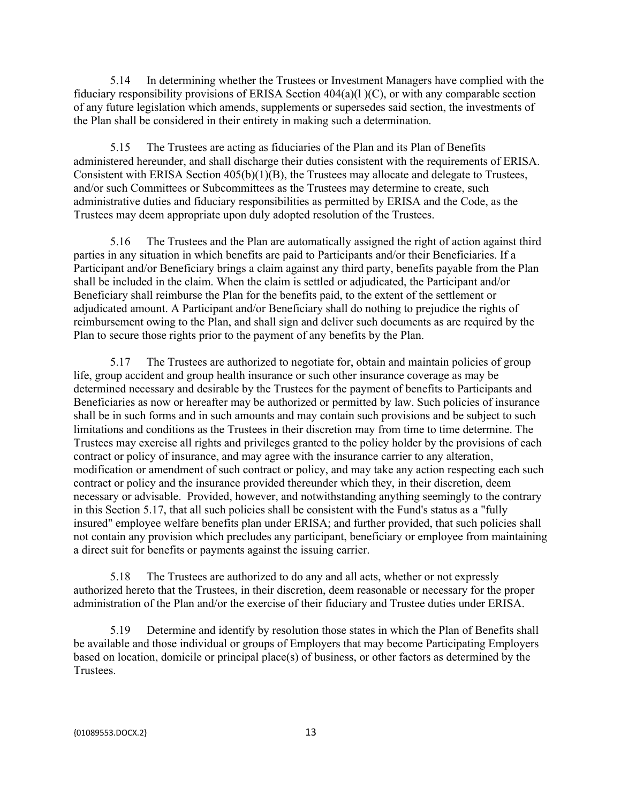5.14 In determining whether the Trustees or Investment Managers have complied with the fiduciary responsibility provisions of ERISA Section  $404(a)(1)(C)$ , or with any comparable section of any future legislation which amends, supplements or supersedes said section, the investments of the Plan shall be considered in their entirety in making such a determination.

5.15 The Trustees are acting as fiduciaries of the Plan and its Plan of Benefits administered hereunder, and shall discharge their duties consistent with the requirements of ERISA. Consistent with ERISA Section 405(b)(1)(B), the Trustees may allocate and delegate to Trustees, and/or such Committees or Subcommittees as the Trustees may determine to create, such administrative duties and fiduciary responsibilities as permitted by ERISA and the Code, as the Trustees may deem appropriate upon duly adopted resolution of the Trustees.

5.16 The Trustees and the Plan are automatically assigned the right of action against third parties in any situation in which benefits are paid to Participants and/or their Beneficiaries. If a Participant and/or Beneficiary brings a claim against any third party, benefits payable from the Plan shall be included in the claim. When the claim is settled or adjudicated, the Participant and/or Beneficiary shall reimburse the Plan for the benefits paid, to the extent of the settlement or adjudicated amount. A Participant and/or Beneficiary shall do nothing to prejudice the rights of reimbursement owing to the Plan, and shall sign and deliver such documents as are required by the Plan to secure those rights prior to the payment of any benefits by the Plan.

5.17 The Trustees are authorized to negotiate for, obtain and maintain policies of group life, group accident and group health insurance or such other insurance coverage as may be determined necessary and desirable by the Trustees for the payment of benefits to Participants and Beneficiaries as now or hereafter may be authorized or permitted by law. Such policies of insurance shall be in such forms and in such amounts and may contain such provisions and be subject to such limitations and conditions as the Trustees in their discretion may from time to time determine. The Trustees may exercise all rights and privileges granted to the policy holder by the provisions of each contract or policy of insurance, and may agree with the insurance carrier to any alteration, modification or amendment of such contract or policy, and may take any action respecting each such contract or policy and the insurance provided thereunder which they, in their discretion, deem necessary or advisable. Provided, however, and notwithstanding anything seemingly to the contrary in this Section 5.17, that all such policies shall be consistent with the Fund's status as a "fully insured" employee welfare benefits plan under ERISA; and further provided, that such policies shall not contain any provision which precludes any participant, beneficiary or employee from maintaining a direct suit for benefits or payments against the issuing carrier.

5.18 The Trustees are authorized to do any and all acts, whether or not expressly authorized hereto that the Trustees, in their discretion, deem reasonable or necessary for the proper administration of the Plan and/or the exercise of their fiduciary and Trustee duties under ERISA.

5.19 Determine and identify by resolution those states in which the Plan of Benefits shall be available and those individual or groups of Employers that may become Participating Employers based on location, domicile or principal place(s) of business, or other factors as determined by the Trustees.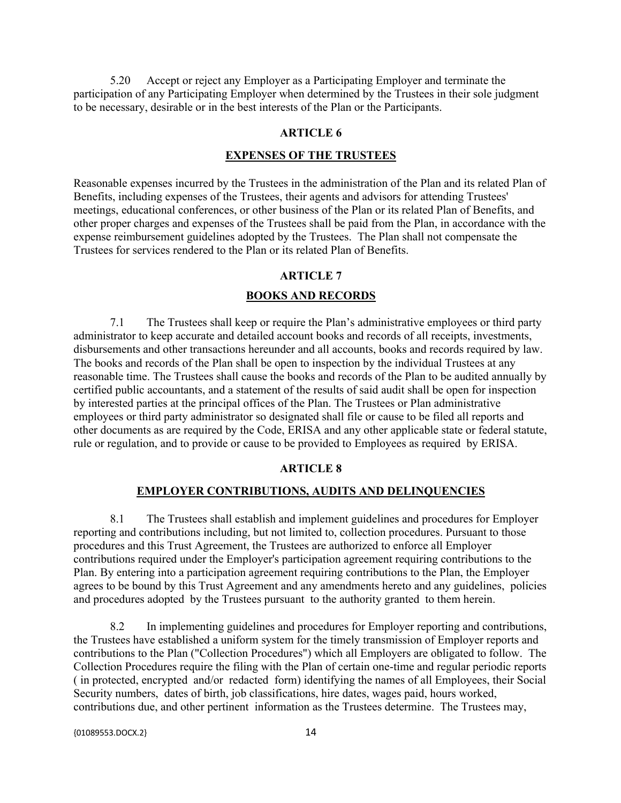5.20 Accept or reject any Employer as a Participating Employer and terminate the participation of any Participating Employer when determined by the Trustees in their sole judgment to be necessary, desirable or in the best interests of the Plan or the Participants.

## **ARTICLE 6**

#### **EXPENSES OF THE TRUSTEES**

Reasonable expenses incurred by the Trustees in the administration of the Plan and its related Plan of Benefits, including expenses of the Trustees, their agents and advisors for attending Trustees' meetings, educational conferences, or other business of the Plan or its related Plan of Benefits, and other proper charges and expenses of the Trustees shall be paid from the Plan, in accordance with the expense reimbursement guidelines adopted by the Trustees. The Plan shall not compensate the Trustees for services rendered to the Plan or its related Plan of Benefits.

## **ARTICLE 7**

## **BOOKS AND RECORDS**

7.1 The Trustees shall keep or require the Plan's administrative employees or third party administrator to keep accurate and detailed account books and records of all receipts, investments, disbursements and other transactions hereunder and all accounts, books and records required by law. The books and records of the Plan shall be open to inspection by the individual Trustees at any reasonable time. The Trustees shall cause the books and records of the Plan to be audited annually by certified public accountants, and a statement of the results of said audit shall be open for inspection by interested parties at the principal offices of the Plan. The Trustees or Plan administrative employees or third party administrator so designated shall file or cause to be filed all reports and other documents as are required by the Code, ERISA and any other applicable state or federal statute, rule or regulation, and to provide or cause to be provided to Employees as required by ERISA.

## **ARTICLE 8**

# **EMPLOYER CONTRIBUTIONS, AUDITS AND DELINQUENCIES**

8.1 The Trustees shall establish and implement guidelines and procedures for Employer reporting and contributions including, but not limited to, collection procedures. Pursuant to those procedures and this Trust Agreement, the Trustees are authorized to enforce all Employer contributions required under the Employer's participation agreement requiring contributions to the Plan. By entering into a participation agreement requiring contributions to the Plan, the Employer agrees to be bound by this Trust Agreement and any amendments hereto and any guidelines, policies and procedures adopted by the Trustees pursuant to the authority granted to them herein.

8.2 In implementing guidelines and procedures for Employer reporting and contributions, the Trustees have established a uniform system for the timely transmission of Employer reports and contributions to the Plan ("Collection Procedures") which all Employers are obligated to follow. The Collection Procedures require the filing with the Plan of certain one-time and regular periodic reports ( in protected, encrypted and/or redacted form) identifying the names of all Employees, their Social Security numbers, dates of birth, job classifications, hire dates, wages paid, hours worked, contributions due, and other pertinent information as the Trustees determine. The Trustees may,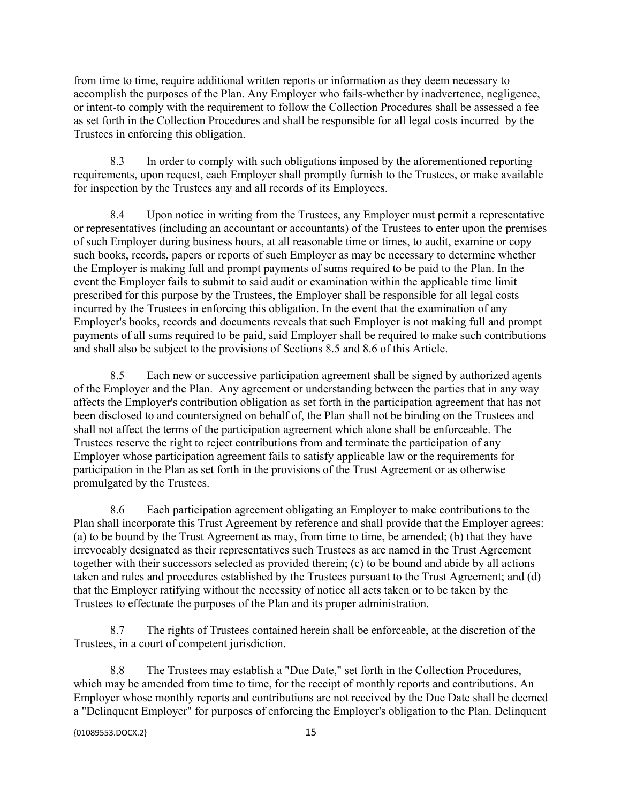from time to time, require additional written reports or information as they deem necessary to accomplish the purposes of the Plan. Any Employer who fails-whether by inadvertence, negligence, or intent-to comply with the requirement to follow the Collection Procedures shall be assessed a fee as set forth in the Collection Procedures and shall be responsible for all legal costs incurred by the Trustees in enforcing this obligation.

8.3 In order to comply with such obligations imposed by the aforementioned reporting requirements, upon request, each Employer shall promptly furnish to the Trustees, or make available for inspection by the Trustees any and all records of its Employees.

8.4 Upon notice in writing from the Trustees, any Employer must permit a representative or representatives (including an accountant or accountants) of the Trustees to enter upon the premises of such Employer during business hours, at all reasonable time or times, to audit, examine or copy such books, records, papers or reports of such Employer as may be necessary to determine whether the Employer is making full and prompt payments of sums required to be paid to the Plan. In the event the Employer fails to submit to said audit or examination within the applicable time limit prescribed for this purpose by the Trustees, the Employer shall be responsible for all legal costs incurred by the Trustees in enforcing this obligation. In the event that the examination of any Employer's books, records and documents reveals that such Employer is not making full and prompt payments of all sums required to be paid, said Employer shall be required to make such contributions and shall also be subject to the provisions of Sections 8.5 and 8.6 of this Article.

8.5 Each new or successive participation agreement shall be signed by authorized agents of the Employer and the Plan. Any agreement or understanding between the parties that in any way affects the Employer's contribution obligation as set forth in the participation agreement that has not been disclosed to and countersigned on behalf of, the Plan shall not be binding on the Trustees and shall not affect the terms of the participation agreement which alone shall be enforceable. The Trustees reserve the right to reject contributions from and terminate the participation of any Employer whose participation agreement fails to satisfy applicable law or the requirements for participation in the Plan as set forth in the provisions of the Trust Agreement or as otherwise promulgated by the Trustees.

8.6 Each participation agreement obligating an Employer to make contributions to the Plan shall incorporate this Trust Agreement by reference and shall provide that the Employer agrees: (a) to be bound by the Trust Agreement as may, from time to time, be amended; (b) that they have irrevocably designated as their representatives such Trustees as are named in the Trust Agreement together with their successors selected as provided therein; (c) to be bound and abide by all actions taken and rules and procedures established by the Trustees pursuant to the Trust Agreement; and (d) that the Employer ratifying without the necessity of notice all acts taken or to be taken by the Trustees to effectuate the purposes of the Plan and its proper administration.

8.7 The rights of Trustees contained herein shall be enforceable, at the discretion of the Trustees, in a court of competent jurisdiction.

8.8 The Trustees may establish a "Due Date," set forth in the Collection Procedures, which may be amended from time to time, for the receipt of monthly reports and contributions. An Employer whose monthly reports and contributions are not received by the Due Date shall be deemed a "Delinquent Employer" for purposes of enforcing the Employer's obligation to the Plan. Delinquent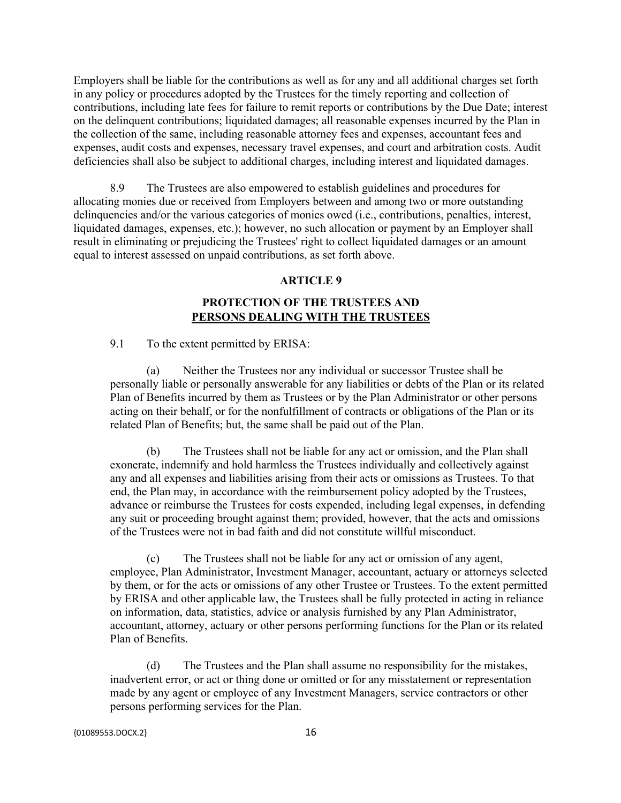Employers shall be liable for the contributions as well as for any and all additional charges set forth in any policy or procedures adopted by the Trustees for the timely reporting and collection of contributions, including late fees for failure to remit reports or contributions by the Due Date; interest on the delinquent contributions; liquidated damages; all reasonable expenses incurred by the Plan in the collection of the same, including reasonable attorney fees and expenses, accountant fees and expenses, audit costs and expenses, necessary travel expenses, and court and arbitration costs. Audit deficiencies shall also be subject to additional charges, including interest and liquidated damages.

8.9 The Trustees are also empowered to establish guidelines and procedures for allocating monies due or received from Employers between and among two or more outstanding delinquencies and/or the various categories of monies owed (i.e., contributions, penalties, interest, liquidated damages, expenses, etc.); however, no such allocation or payment by an Employer shall result in eliminating or prejudicing the Trustees' right to collect liquidated damages or an amount equal to interest assessed on unpaid contributions, as set forth above.

### **ARTICLE 9**

# **PROTECTION OF THE TRUSTEES AND PERSONS DEALING WITH THE TRUSTEES**

9.1 To the extent permitted by ERISA:

(a) Neither the Trustees nor any individual or successor Trustee shall be personally liable or personally answerable for any liabilities or debts of the Plan or its related Plan of Benefits incurred by them as Trustees or by the Plan Administrator or other persons acting on their behalf, or for the nonfulfillment of contracts or obligations of the Plan or its related Plan of Benefits; but, the same shall be paid out of the Plan.

(b) The Trustees shall not be liable for any act or omission, and the Plan shall exonerate, indemnify and hold harmless the Trustees individually and collectively against any and all expenses and liabilities arising from their acts or omissions as Trustees. To that end, the Plan may, in accordance with the reimbursement policy adopted by the Trustees, advance or reimburse the Trustees for costs expended, including legal expenses, in defending any suit or proceeding brought against them; provided, however, that the acts and omissions of the Trustees were not in bad faith and did not constitute willful misconduct.

(c) The Trustees shall not be liable for any act or omission of any agent, employee, Plan Administrator, Investment Manager, accountant, actuary or attorneys selected by them, or for the acts or omissions of any other Trustee or Trustees. To the extent permitted by ERISA and other applicable law, the Trustees shall be fully protected in acting in reliance on information, data, statistics, advice or analysis furnished by any Plan Administrator, accountant, attorney, actuary or other persons performing functions for the Plan or its related Plan of Benefits.

(d) The Trustees and the Plan shall assume no responsibility for the mistakes, inadvertent error, or act or thing done or omitted or for any misstatement or representation made by any agent or employee of any Investment Managers, service contractors or other persons performing services for the Plan.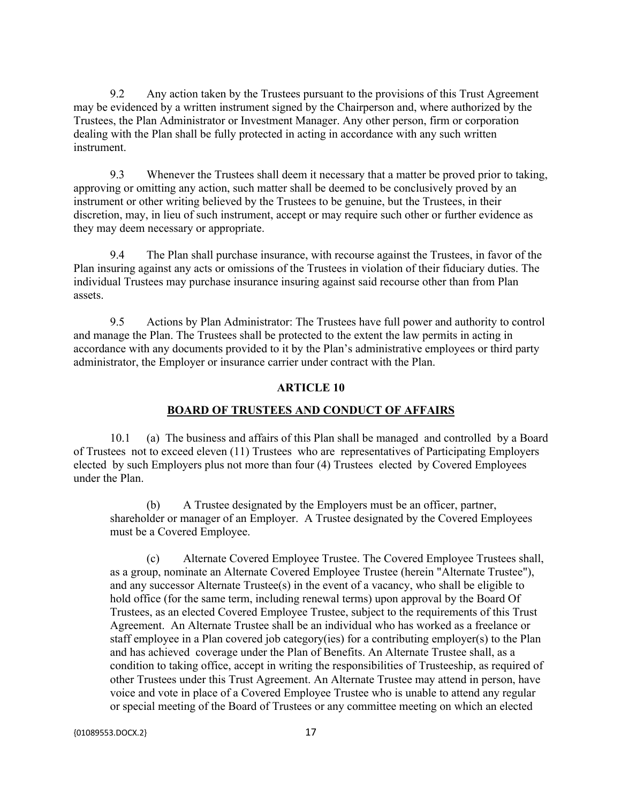9.2 Any action taken by the Trustees pursuant to the provisions of this Trust Agreement may be evidenced by a written instrument signed by the Chairperson and, where authorized by the Trustees, the Plan Administrator or Investment Manager. Any other person, firm or corporation dealing with the Plan shall be fully protected in acting in accordance with any such written instrument.

9.3 Whenever the Trustees shall deem it necessary that a matter be proved prior to taking, approving or omitting any action, such matter shall be deemed to be conclusively proved by an instrument or other writing believed by the Trustees to be genuine, but the Trustees, in their discretion, may, in lieu of such instrument, accept or may require such other or further evidence as they may deem necessary or appropriate.

9.4 The Plan shall purchase insurance, with recourse against the Trustees, in favor of the Plan insuring against any acts or omissions of the Trustees in violation of their fiduciary duties. The individual Trustees may purchase insurance insuring against said recourse other than from Plan assets.

9.5 Actions by Plan Administrator: The Trustees have full power and authority to control and manage the Plan. The Trustees shall be protected to the extent the law permits in acting in accordance with any documents provided to it by the Plan's administrative employees or third party administrator, the Employer or insurance carrier under contract with the Plan.

## **ARTICLE 10**

#### **BOARD OF TRUSTEES AND CONDUCT OF AFFAIRS**

10.1 (a) The business and affairs of this Plan shall be managed and controlled by a Board of Trustees not to exceed eleven (11) Trustees who are representatives of Participating Employers elected by such Employers plus not more than four (4) Trustees elected by Covered Employees under the Plan.

(b) A Trustee designated by the Employers must be an officer, partner, shareholder or manager of an Employer. A Trustee designated by the Covered Employees must be a Covered Employee.

(c) Alternate Covered Employee Trustee. The Covered Employee Trustees shall, as a group, nominate an Alternate Covered Employee Trustee (herein "Alternate Trustee"), and any successor Alternate Trustee(s) in the event of a vacancy, who shall be eligible to hold office (for the same term, including renewal terms) upon approval by the Board Of Trustees, as an elected Covered Employee Trustee, subject to the requirements of this Trust Agreement. An Alternate Trustee shall be an individual who has worked as a freelance or staff employee in a Plan covered job category(ies) for a contributing employer(s) to the Plan and has achieved coverage under the Plan of Benefits. An Alternate Trustee shall, as a condition to taking office, accept in writing the responsibilities of Trusteeship, as required of other Trustees under this Trust Agreement. An Alternate Trustee may attend in person, have voice and vote in place of a Covered Employee Trustee who is unable to attend any regular or special meeting of the Board of Trustees or any committee meeting on which an elected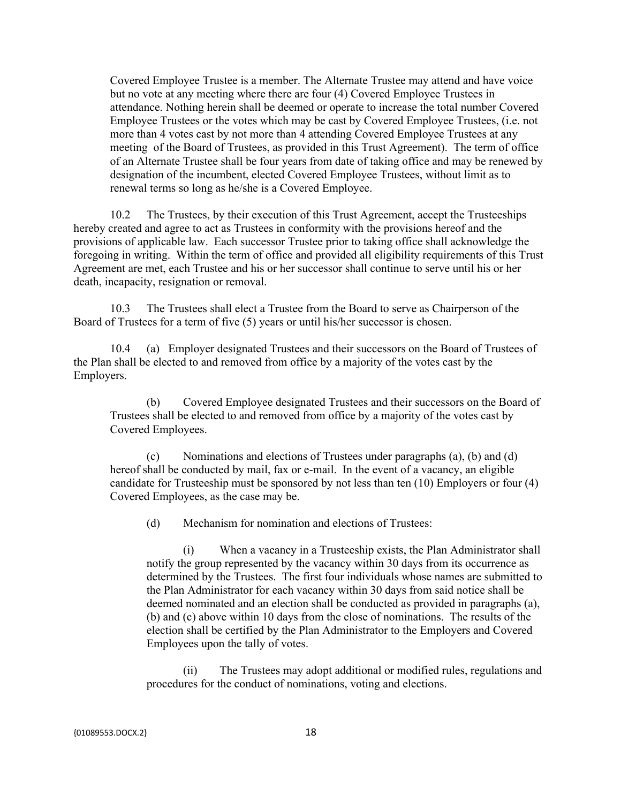Covered Employee Trustee is a member. The Alternate Trustee may attend and have voice but no vote at any meeting where there are four (4) Covered Employee Trustees in attendance. Nothing herein shall be deemed or operate to increase the total number Covered Employee Trustees or the votes which may be cast by Covered Employee Trustees, (i.e. not more than 4 votes cast by not more than 4 attending Covered Employee Trustees at any meeting of the Board of Trustees, as provided in this Trust Agreement). The term of office of an Alternate Trustee shall be four years from date of taking office and may be renewed by designation of the incumbent, elected Covered Employee Trustees, without limit as to renewal terms so long as he/she is a Covered Employee.

10.2 The Trustees, by their execution of this Trust Agreement, accept the Trusteeships hereby created and agree to act as Trustees in conformity with the provisions hereof and the provisions of applicable law. Each successor Trustee prior to taking office shall acknowledge the foregoing in writing. Within the term of office and provided all eligibility requirements of this Trust Agreement are met, each Trustee and his or her successor shall continue to serve until his or her death, incapacity, resignation or removal.

10.3 The Trustees shall elect a Trustee from the Board to serve as Chairperson of the Board of Trustees for a term of five (5) years or until his/her successor is chosen.

10.4 (a) Employer designated Trustees and their successors on the Board of Trustees of the Plan shall be elected to and removed from office by a majority of the votes cast by the Employers.

(b) Covered Employee designated Trustees and their successors on the Board of Trustees shall be elected to and removed from office by a majority of the votes cast by Covered Employees.

(c) Nominations and elections of Trustees under paragraphs (a), (b) and (d) hereof shall be conducted by mail, fax or e-mail. In the event of a vacancy, an eligible candidate for Trusteeship must be sponsored by not less than ten (10) Employers or four (4) Covered Employees, as the case may be.

(d) Mechanism for nomination and elections of Trustees:

(i) When a vacancy in a Trusteeship exists, the Plan Administrator shall notify the group represented by the vacancy within 30 days from its occurrence as determined by the Trustees. The first four individuals whose names are submitted to the Plan Administrator for each vacancy within 30 days from said notice shall be deemed nominated and an election shall be conducted as provided in paragraphs (a), (b) and (c) above within 10 days from the close of nominations. The results of the election shall be certified by the Plan Administrator to the Employers and Covered Employees upon the tally of votes.

(ii) The Trustees may adopt additional or modified rules, regulations and procedures for the conduct of nominations, voting and elections.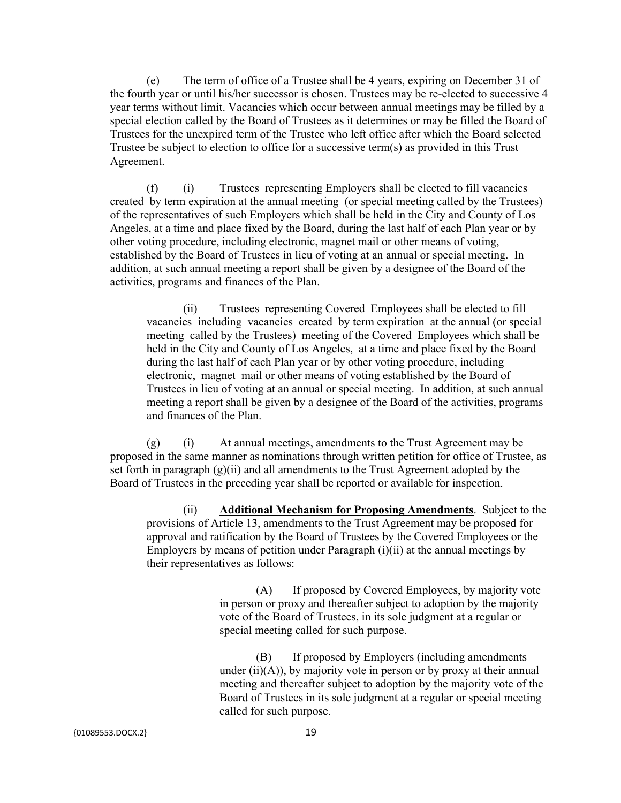(e) The term of office of a Trustee shall be 4 years, expiring on December 31 of the fourth year or until his/her successor is chosen. Trustees may be re-elected to successive 4 year terms without limit. Vacancies which occur between annual meetings may be filled by a special election called by the Board of Trustees as it determines or may be filled the Board of Trustees for the unexpired term of the Trustee who left office after which the Board selected Trustee be subject to election to office for a successive term(s) as provided in this Trust Agreement.

(f) (i) Trustees representing Employers shall be elected to fill vacancies created by term expiration at the annual meeting (or special meeting called by the Trustees) of the representatives of such Employers which shall be held in the City and County of Los Angeles, at a time and place fixed by the Board, during the last half of each Plan year or by other voting procedure, including electronic, magnet mail or other means of voting, established by the Board of Trustees in lieu of voting at an annual or special meeting. In addition, at such annual meeting a report shall be given by a designee of the Board of the activities, programs and finances of the Plan.

(ii) Trustees representing Covered Employees shall be elected to fill vacancies including vacancies created by term expiration at the annual (or special meeting called by the Trustees) meeting of the Covered Employees which shall be held in the City and County of Los Angeles, at a time and place fixed by the Board during the last half of each Plan year or by other voting procedure, including electronic, magnet mail or other means of voting established by the Board of Trustees in lieu of voting at an annual or special meeting. In addition, at such annual meeting a report shall be given by a designee of the Board of the activities, programs and finances of the Plan.

(g) (i) At annual meetings, amendments to the Trust Agreement may be proposed in the same manner as nominations through written petition for office of Trustee, as set forth in paragraph  $(g)(ii)$  and all amendments to the Trust Agreement adopted by the Board of Trustees in the preceding year shall be reported or available for inspection.

(ii) **Additional Mechanism for Proposing Amendments**. Subject to the provisions of Article 13, amendments to the Trust Agreement may be proposed for approval and ratification by the Board of Trustees by the Covered Employees or the Employers by means of petition under Paragraph (i)(ii) at the annual meetings by their representatives as follows:

> (A) If proposed by Covered Employees, by majority vote in person or proxy and thereafter subject to adoption by the majority vote of the Board of Trustees, in its sole judgment at a regular or special meeting called for such purpose.

> (B) If proposed by Employers (including amendments under  $(ii)(A)$ , by majority vote in person or by proxy at their annual meeting and thereafter subject to adoption by the majority vote of the Board of Trustees in its sole judgment at a regular or special meeting called for such purpose.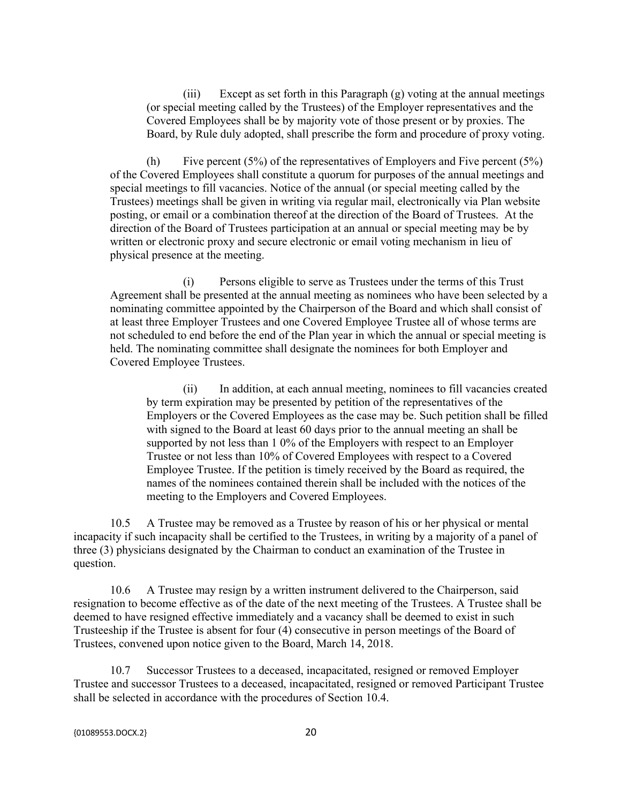(iii) Except as set forth in this Paragraph (g) voting at the annual meetings (or special meeting called by the Trustees) of the Employer representatives and the Covered Employees shall be by majority vote of those present or by proxies. The Board, by Rule duly adopted, shall prescribe the form and procedure of proxy voting.

(h) Five percent  $(5\%)$  of the representatives of Employers and Five percent  $(5\%)$ of the Covered Employees shall constitute a quorum for purposes of the annual meetings and special meetings to fill vacancies. Notice of the annual (or special meeting called by the Trustees) meetings shall be given in writing via regular mail, electronically via Plan website posting, or email or a combination thereof at the direction of the Board of Trustees. At the direction of the Board of Trustees participation at an annual or special meeting may be by written or electronic proxy and secure electronic or email voting mechanism in lieu of physical presence at the meeting.

(i) Persons eligible to serve as Trustees under the terms of this Trust Agreement shall be presented at the annual meeting as nominees who have been selected by a nominating committee appointed by the Chairperson of the Board and which shall consist of at least three Employer Trustees and one Covered Employee Trustee all of whose terms are not scheduled to end before the end of the Plan year in which the annual or special meeting is held. The nominating committee shall designate the nominees for both Employer and Covered Employee Trustees.

(ii) In addition, at each annual meeting, nominees to fill vacancies created by term expiration may be presented by petition of the representatives of the Employers or the Covered Employees as the case may be. Such petition shall be filled with signed to the Board at least 60 days prior to the annual meeting an shall be supported by not less than 1 0% of the Employers with respect to an Employer Trustee or not less than 10% of Covered Employees with respect to a Covered Employee Trustee. If the petition is timely received by the Board as required, the names of the nominees contained therein shall be included with the notices of the meeting to the Employers and Covered Employees.

10.5 A Trustee may be removed as a Trustee by reason of his or her physical or mental incapacity if such incapacity shall be certified to the Trustees, in writing by a majority of a panel of three (3) physicians designated by the Chairman to conduct an examination of the Trustee in question.

10.6 A Trustee may resign by a written instrument delivered to the Chairperson, said resignation to become effective as of the date of the next meeting of the Trustees. A Trustee shall be deemed to have resigned effective immediately and a vacancy shall be deemed to exist in such Trusteeship if the Trustee is absent for four (4) consecutive in person meetings of the Board of Trustees, convened upon notice given to the Board, March 14, 2018.

10.7 Successor Trustees to a deceased, incapacitated, resigned or removed Employer Trustee and successor Trustees to a deceased, incapacitated, resigned or removed Participant Trustee shall be selected in accordance with the procedures of Section 10.4.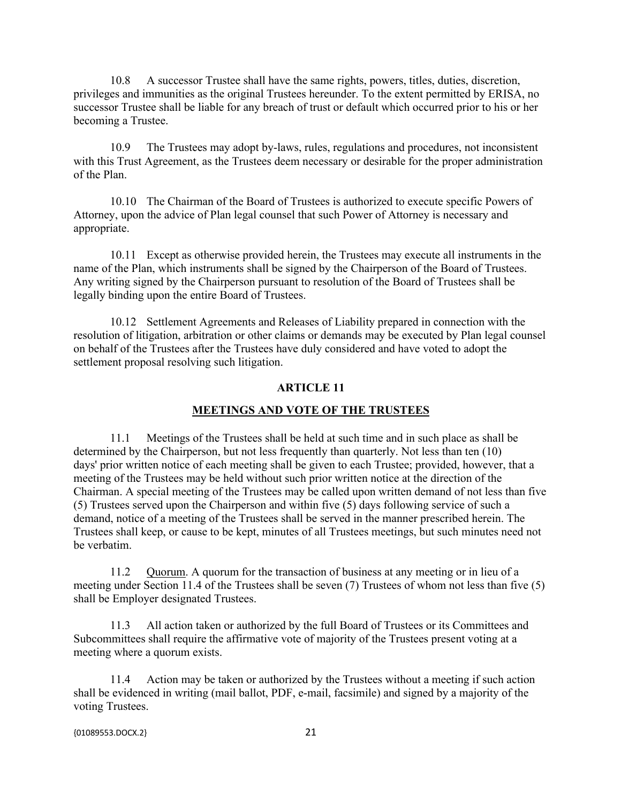10.8 A successor Trustee shall have the same rights, powers, titles, duties, discretion, privileges and immunities as the original Trustees hereunder. To the extent permitted by ERISA, no successor Trustee shall be liable for any breach of trust or default which occurred prior to his or her becoming a Trustee.

10.9 The Trustees may adopt by-laws, rules, regulations and procedures, not inconsistent with this Trust Agreement, as the Trustees deem necessary or desirable for the proper administration of the Plan.

10.10 The Chairman of the Board of Trustees is authorized to execute specific Powers of Attorney, upon the advice of Plan legal counsel that such Power of Attorney is necessary and appropriate.

10.11 Except as otherwise provided herein, the Trustees may execute all instruments in the name of the Plan, which instruments shall be signed by the Chairperson of the Board of Trustees. Any writing signed by the Chairperson pursuant to resolution of the Board of Trustees shall be legally binding upon the entire Board of Trustees.

10.12 Settlement Agreements and Releases of Liability prepared in connection with the resolution of litigation, arbitration or other claims or demands may be executed by Plan legal counsel on behalf of the Trustees after the Trustees have duly considered and have voted to adopt the settlement proposal resolving such litigation.

## **ARTICLE 11**

#### **MEETINGS AND VOTE OF THE TRUSTEES**

11.1 Meetings of the Trustees shall be held at such time and in such place as shall be determined by the Chairperson, but not less frequently than quarterly. Not less than ten (10) days' prior written notice of each meeting shall be given to each Trustee; provided, however, that a meeting of the Trustees may be held without such prior written notice at the direction of the Chairman. A special meeting of the Trustees may be called upon written demand of not less than five (5) Trustees served upon the Chairperson and within five (5) days following service of such a demand, notice of a meeting of the Trustees shall be served in the manner prescribed herein. The Trustees shall keep, or cause to be kept, minutes of all Trustees meetings, but such minutes need not be verbatim.

11.2 Quorum. A quorum for the transaction of business at any meeting or in lieu of a meeting under Section 11.4 of the Trustees shall be seven (7) Trustees of whom not less than five (5) shall be Employer designated Trustees.

11.3 All action taken or authorized by the full Board of Trustees or its Committees and Subcommittees shall require the affirmative vote of majority of the Trustees present voting at a meeting where a quorum exists.

11.4 Action may be taken or authorized by the Trustees without a meeting if such action shall be evidenced in writing (mail ballot, PDF, e-mail, facsimile) and signed by a majority of the voting Trustees.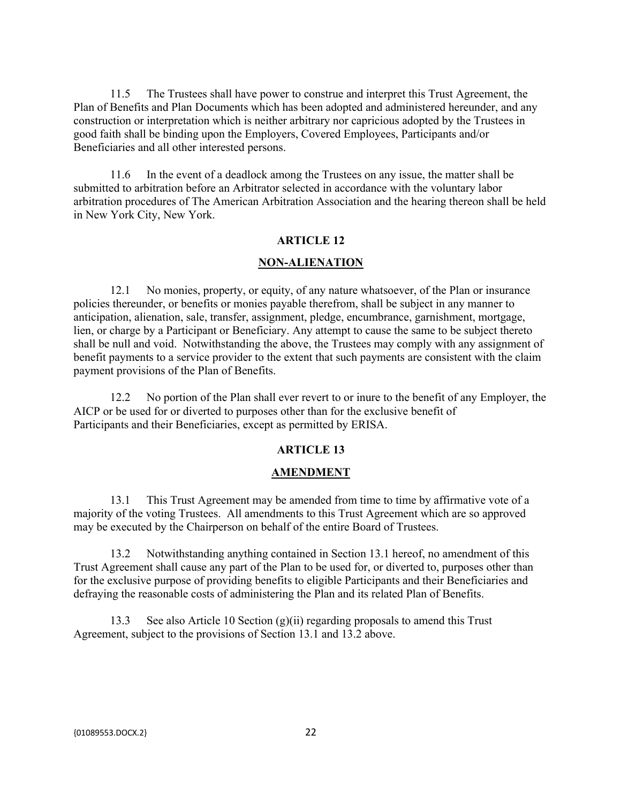11.5 The Trustees shall have power to construe and interpret this Trust Agreement, the Plan of Benefits and Plan Documents which has been adopted and administered hereunder, and any construction or interpretation which is neither arbitrary nor capricious adopted by the Trustees in good faith shall be binding upon the Employers, Covered Employees, Participants and/or Beneficiaries and all other interested persons.

11.6 In the event of a deadlock among the Trustees on any issue, the matter shall be submitted to arbitration before an Arbitrator selected in accordance with the voluntary labor arbitration procedures of The American Arbitration Association and the hearing thereon shall be held in New York City, New York.

## **ARTICLE 12**

#### **NON-ALIENATION**

12.1 No monies, property, or equity, of any nature whatsoever, of the Plan or insurance policies thereunder, or benefits or monies payable therefrom, shall be subject in any manner to anticipation, alienation, sale, transfer, assignment, pledge, encumbrance, garnishment, mortgage, lien, or charge by a Participant or Beneficiary. Any attempt to cause the same to be subject thereto shall be null and void. Notwithstanding the above, the Trustees may comply with any assignment of benefit payments to a service provider to the extent that such payments are consistent with the claim payment provisions of the Plan of Benefits.

12.2 No portion of the Plan shall ever revert to or inure to the benefit of any Employer, the AICP or be used for or diverted to purposes other than for the exclusive benefit of Participants and their Beneficiaries, except as permitted by ERISA.

#### **ARTICLE 13**

#### **AMENDMENT**

13.1 This Trust Agreement may be amended from time to time by affirmative vote of a majority of the voting Trustees. All amendments to this Trust Agreement which are so approved may be executed by the Chairperson on behalf of the entire Board of Trustees.

13.2 Notwithstanding anything contained in Section 13.1 hereof, no amendment of this Trust Agreement shall cause any part of the Plan to be used for, or diverted to, purposes other than for the exclusive purpose of providing benefits to eligible Participants and their Beneficiaries and defraying the reasonable costs of administering the Plan and its related Plan of Benefits.

13.3 See also Article 10 Section  $(g)(ii)$  regarding proposals to amend this Trust Agreement, subject to the provisions of Section 13.1 and 13.2 above.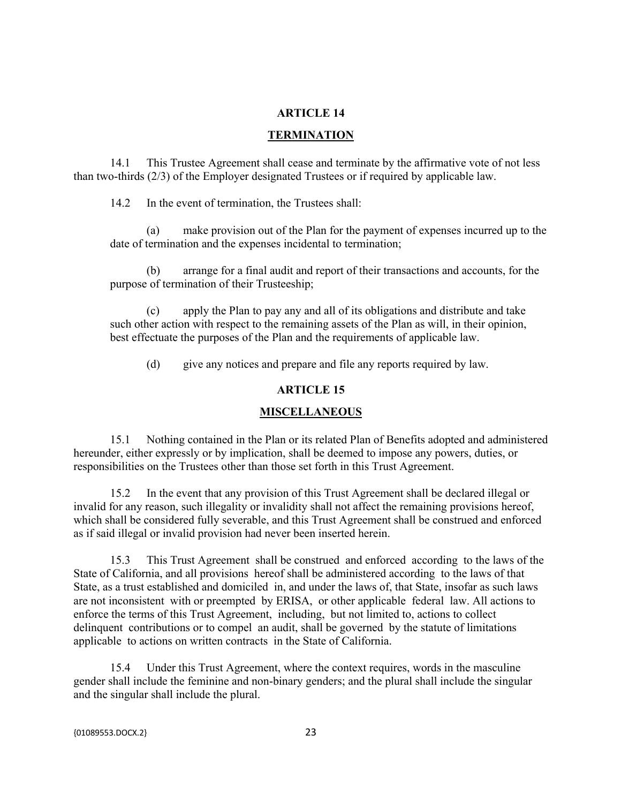## **ARTICLE 14**

### **TERMINATION**

14.1 This Trustee Agreement shall cease and terminate by the affirmative vote of not less than two-thirds (2/3) of the Employer designated Trustees or if required by applicable law.

14.2 In the event of termination, the Trustees shall:

(a) make provision out of the Plan for the payment of expenses incurred up to the date of termination and the expenses incidental to termination;

(b) arrange for a final audit and report of their transactions and accounts, for the purpose of termination of their Trusteeship;

(c) apply the Plan to pay any and all of its obligations and distribute and take such other action with respect to the remaining assets of the Plan as will, in their opinion, best effectuate the purposes of the Plan and the requirements of applicable law.

(d) give any notices and prepare and file any reports required by law.

## **ARTICLE 15**

#### **MISCELLANEOUS**

15.1 Nothing contained in the Plan or its related Plan of Benefits adopted and administered hereunder, either expressly or by implication, shall be deemed to impose any powers, duties, or responsibilities on the Trustees other than those set forth in this Trust Agreement.

15.2 In the event that any provision of this Trust Agreement shall be declared illegal or invalid for any reason, such illegality or invalidity shall not affect the remaining provisions hereof, which shall be considered fully severable, and this Trust Agreement shall be construed and enforced as if said illegal or invalid provision had never been inserted herein.

15.3 This Trust Agreement shall be construed and enforced according to the laws of the State of California, and all provisions hereof shall be administered according to the laws of that State, as a trust established and domiciled in, and under the laws of, that State, insofar as such laws are not inconsistent with or preempted by ERISA, or other applicable federal law. All actions to enforce the terms of this Trust Agreement, including, but not limited to, actions to collect delinquent contributions or to compel an audit, shall be governed by the statute of limitations applicable to actions on written contracts in the State of California.

15.4 Under this Trust Agreement, where the context requires, words in the masculine gender shall include the feminine and non-binary genders; and the plural shall include the singular and the singular shall include the plural.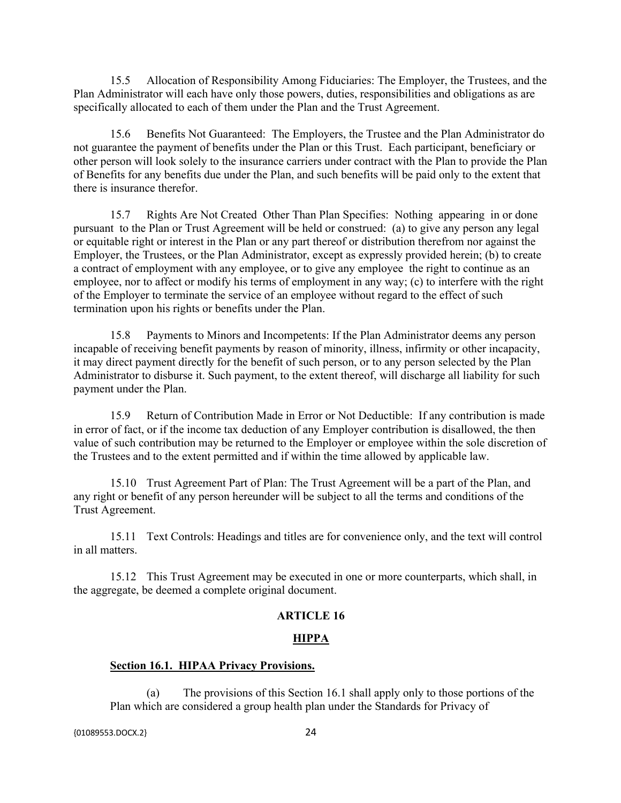15.5 Allocation of Responsibility Among Fiduciaries: The Employer, the Trustees, and the Plan Administrator will each have only those powers, duties, responsibilities and obligations as are specifically allocated to each of them under the Plan and the Trust Agreement.

15.6 Benefits Not Guaranteed: The Employers, the Trustee and the Plan Administrator do not guarantee the payment of benefits under the Plan or this Trust. Each participant, beneficiary or other person will look solely to the insurance carriers under contract with the Plan to provide the Plan of Benefits for any benefits due under the Plan, and such benefits will be paid only to the extent that there is insurance therefor.

15.7 Rights Are Not Created Other Than Plan Specifies: Nothing appearing in or done pursuant to the Plan or Trust Agreement will be held or construed: (a) to give any person any legal or equitable right or interest in the Plan or any part thereof or distribution therefrom nor against the Employer, the Trustees, or the Plan Administrator, except as expressly provided herein; (b) to create a contract of employment with any employee, or to give any employee the right to continue as an employee, nor to affect or modify his terms of employment in any way; (c) to interfere with the right of the Employer to terminate the service of an employee without regard to the effect of such termination upon his rights or benefits under the Plan.

15.8 Payments to Minors and Incompetents: If the Plan Administrator deems any person incapable of receiving benefit payments by reason of minority, illness, infirmity or other incapacity, it may direct payment directly for the benefit of such person, or to any person selected by the Plan Administrator to disburse it. Such payment, to the extent thereof, will discharge all liability for such payment under the Plan.

15.9 Return of Contribution Made in Error or Not Deductible: If any contribution is made in error of fact, or if the income tax deduction of any Employer contribution is disallowed, the then value of such contribution may be returned to the Employer or employee within the sole discretion of the Trustees and to the extent permitted and if within the time allowed by applicable law.

15.10 Trust Agreement Part of Plan: The Trust Agreement will be a part of the Plan, and any right or benefit of any person hereunder will be subject to all the terms and conditions of the Trust Agreement.

15.11 Text Controls: Headings and titles are for convenience only, and the text will control in all matters.

15.12 This Trust Agreement may be executed in one or more counterparts, which shall, in the aggregate, be deemed a complete original document.

#### **ARTICLE 16**

### **HIPPA**

## **Section 16.1. HIPAA Privacy Provisions.**

(a) The provisions of this Section 16.1 shall apply only to those portions of the Plan which are considered a group health plan under the Standards for Privacy of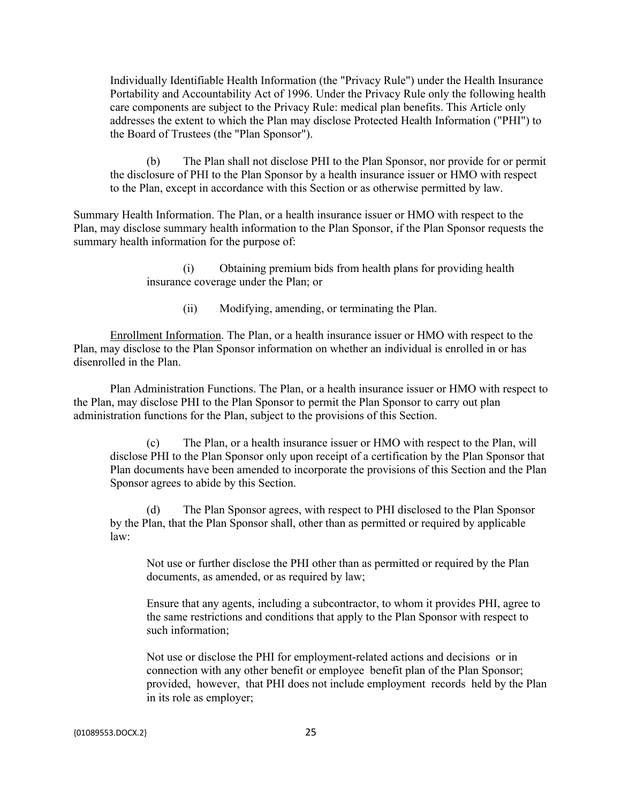Individually Identifiable Health Information (the "Privacy Rule") under the Health Insurance Portability and Accountability Act of 1996. Under the Privacy Rule only the following health care components are subject to the Privacy Rule: medical plan benefits. This Article only addresses the extent to which the Plan may disclose Protected Health Information ("PHI") to the Board of Trustees (the "Plan Sponsor").

(b) The Plan shall not disclose PHI to the Plan Sponsor, nor provide for or permit the disclosure of PHI to the Plan Sponsor by a health insurance issuer or HMO with respect to the Plan, except in accordance with this Section or as otherwise permitted by law.

Summary Health Information. The Plan, or a health insurance issuer or HMO with respect to the Plan, may disclose summary health information to the Plan Sponsor, if the Plan Sponsor requests the summary health information for the purpose of:

> (i) Obtaining premium bids from health plans for providing health insurance coverage under the Plan; or

> > (ii) Modifying, amending, or terminating the Plan.

Enrollment Information. The Plan, or a health insurance issuer or HMO with respect to the Plan, may disclose to the Plan Sponsor information on whether an individual is enrolled in or has disenrolled in the Plan.

Plan Administration Functions. The Plan, or a health insurance issuer or HMO with respect to the Plan, may disclose PHI to the Plan Sponsor to permit the Plan Sponsor to carry out plan administration functions for the Plan, subject to the provisions of this Section.

(c) The Plan, or a health insurance issuer or HMO with respect to the Plan, will disclose PHI to the Plan Sponsor only upon receipt of a certification by the Plan Sponsor that Plan documents have been amended to incorporate the provisions of this Section and the Plan Sponsor agrees to abide by this Section.

(d) The Plan Sponsor agrees, with respect to PHI disclosed to the Plan Sponsor by the Plan, that the Plan Sponsor shall, other than as permitted or required by applicable law:

Not use or further disclose the PHI other than as permitted or required by the Plan documents, as amended, or as required by law;

Ensure that any agents, including a subcontractor, to whom it provides PHI, agree to the same restrictions and conditions that apply to the Plan Sponsor with respect to such information;

Not use or disclose the PHI for employment-related actions and decisions or in connection with any other benefit or employee benefit plan of the Plan Sponsor; provided, however, that PHI does not include employment records held by the Plan in its role as employer;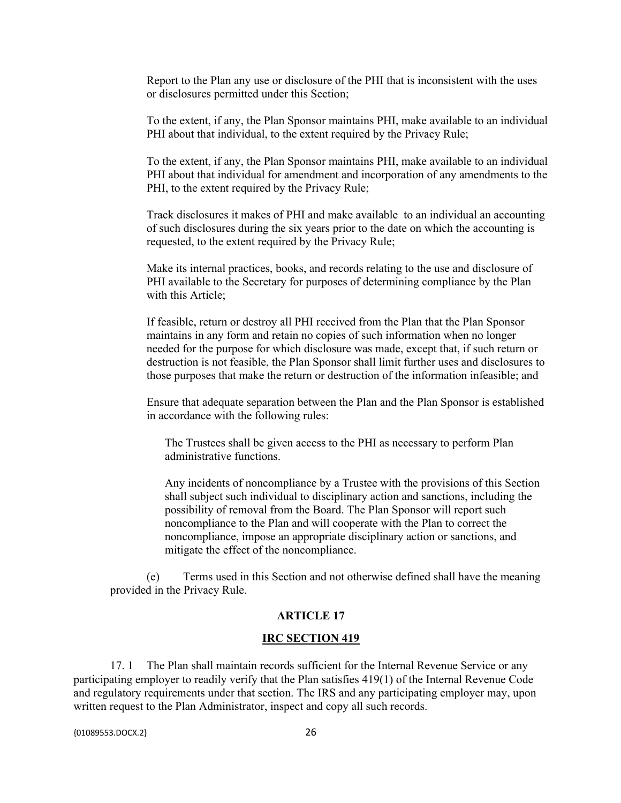Report to the Plan any use or disclosure of the PHI that is inconsistent with the uses or disclosures permitted under this Section;

To the extent, if any, the Plan Sponsor maintains PHI, make available to an individual PHI about that individual, to the extent required by the Privacy Rule;

To the extent, if any, the Plan Sponsor maintains PHI, make available to an individual PHI about that individual for amendment and incorporation of any amendments to the PHI, to the extent required by the Privacy Rule;

Track disclosures it makes of PHI and make available to an individual an accounting of such disclosures during the six years prior to the date on which the accounting is requested, to the extent required by the Privacy Rule;

Make its internal practices, books, and records relating to the use and disclosure of PHI available to the Secretary for purposes of determining compliance by the Plan with this Article;

If feasible, return or destroy all PHI received from the Plan that the Plan Sponsor maintains in any form and retain no copies of such information when no longer needed for the purpose for which disclosure was made, except that, if such return or destruction is not feasible, the Plan Sponsor shall limit further uses and disclosures to those purposes that make the return or destruction of the information infeasible; and

Ensure that adequate separation between the Plan and the Plan Sponsor is established in accordance with the following rules:

The Trustees shall be given access to the PHI as necessary to perform Plan administrative functions.

Any incidents of noncompliance by a Trustee with the provisions of this Section shall subject such individual to disciplinary action and sanctions, including the possibility of removal from the Board. The Plan Sponsor will report such noncompliance to the Plan and will cooperate with the Plan to correct the noncompliance, impose an appropriate disciplinary action or sanctions, and mitigate the effect of the noncompliance.

(e) Terms used in this Section and not otherwise defined shall have the meaning provided in the Privacy Rule.

#### **ARTICLE 17**

#### **IRC SECTION 419**

17. 1 The Plan shall maintain records sufficient for the Internal Revenue Service or any participating employer to readily verify that the Plan satisfies 419(1) of the Internal Revenue Code and regulatory requirements under that section. The IRS and any participating employer may, upon written request to the Plan Administrator, inspect and copy all such records.

{01089553.DOCX.2} 26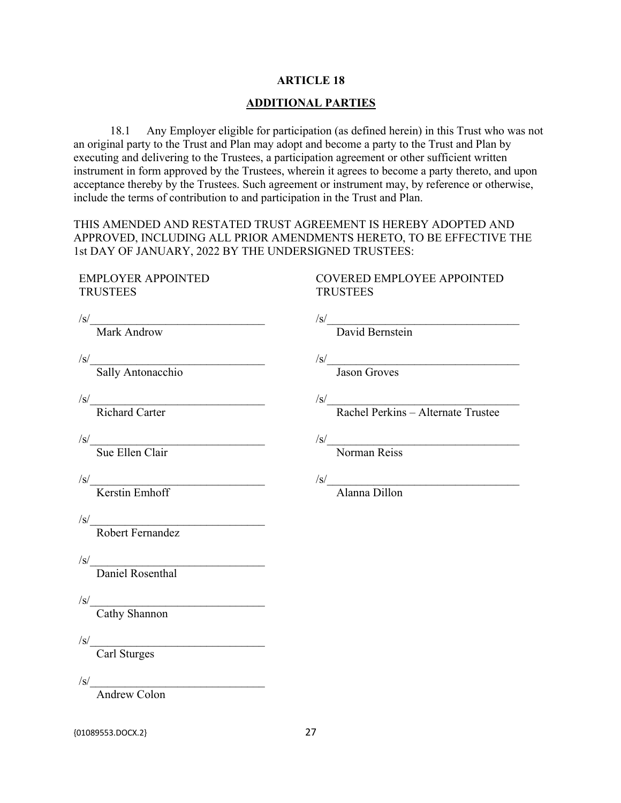## **ARTICLE 18**

## **ADDITIONAL PARTIES**

18.1 Any Employer eligible for participation (as defined herein) in this Trust who was not an original party to the Trust and Plan may adopt and become a party to the Trust and Plan by executing and delivering to the Trustees, a participation agreement or other sufficient written instrument in form approved by the Trustees, wherein it agrees to become a party thereto, and upon acceptance thereby by the Trustees. Such agreement or instrument may, by reference or otherwise, include the terms of contribution to and participation in the Trust and Plan.

THIS AMENDED AND RESTATED TRUST AGREEMENT IS HEREBY ADOPTED AND APPROVED, INCLUDING ALL PRIOR AMENDMENTS HERETO, TO BE EFFECTIVE THE 1st DAY OF JANUARY, 2022 BY THE UNDERSIGNED TRUSTEES:

# EMPLOYER APPOINTED **TRUSTEES**

## COVERED EMPLOYEE APPOINTED **TRUSTEES**

 $\sqrt{s}$ / Mark Androw  $\sqrt{s}$ / David Bernstein  $\sqrt{s}$ / Sally Antonacchio  $/s/$  Jason Groves  $\frac{|s|}{|s|}$  Richard Carter  $\mathcal{S}/\underline{\mathcal{S}}$  Rachel Perkins – Alternate Trustee  $\sqrt{s}$ / Sue Ellen Clair  $\sqrt{s}$ / Norman Reiss  $\sqrt{s}$ / Kerstin Emhoff  $\sqrt{s}}/$  Alanna Dillon  $\sqrt{s}$ / Robert Fernandez  $\sqrt{s}$ / Daniel Rosenthal  $\sqrt{s}$ / Cathy Shannon  $\sqrt{s}$ / Carl Sturges  $\sqrt{s}$ /

Andrew Colon